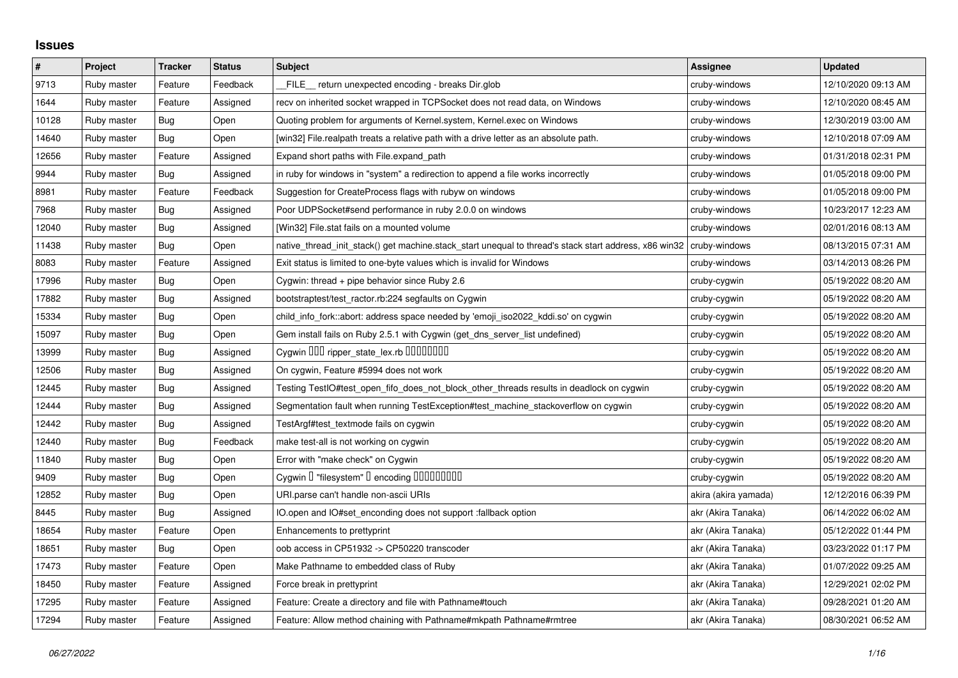## **Issues**

| $\#$  | Project     | <b>Tracker</b> | <b>Status</b> | <b>Subject</b>                                                                                        | <b>Assignee</b>      | <b>Updated</b>      |
|-------|-------------|----------------|---------------|-------------------------------------------------------------------------------------------------------|----------------------|---------------------|
| 9713  | Ruby master | Feature        | Feedback      | FILE return unexpected encoding - breaks Dir.glob                                                     | cruby-windows        | 12/10/2020 09:13 AM |
| 1644  | Ruby master | Feature        | Assigned      | recv on inherited socket wrapped in TCPSocket does not read data, on Windows                          | cruby-windows        | 12/10/2020 08:45 AM |
| 10128 | Ruby master | <b>Bug</b>     | Open          | Quoting problem for arguments of Kernel.system, Kernel.exec on Windows                                | cruby-windows        | 12/30/2019 03:00 AM |
| 14640 | Ruby master | <b>Bug</b>     | Open          | [win32] File.realpath treats a relative path with a drive letter as an absolute path.                 | cruby-windows        | 12/10/2018 07:09 AM |
| 12656 | Ruby master | Feature        | Assigned      | Expand short paths with File.expand_path                                                              | cruby-windows        | 01/31/2018 02:31 PM |
| 9944  | Ruby master | Bug            | Assigned      | in ruby for windows in "system" a redirection to append a file works incorrectly                      | cruby-windows        | 01/05/2018 09:00 PM |
| 8981  | Ruby master | Feature        | Feedback      | Suggestion for CreateProcess flags with rubyw on windows                                              | cruby-windows        | 01/05/2018 09:00 PM |
| 7968  | Ruby master | Bug            | Assigned      | Poor UDPSocket#send performance in ruby 2.0.0 on windows                                              | cruby-windows        | 10/23/2017 12:23 AM |
| 12040 | Ruby master | <b>Bug</b>     | Assigned      | [Win32] File.stat fails on a mounted volume                                                           | cruby-windows        | 02/01/2016 08:13 AM |
| 11438 | Ruby master | Bug            | Open          | native thread init stack() get machine.stack start unequal to thread's stack start address, x86 win32 | cruby-windows        | 08/13/2015 07:31 AM |
| 8083  | Ruby master | Feature        | Assigned      | Exit status is limited to one-byte values which is invalid for Windows                                | cruby-windows        | 03/14/2013 08:26 PM |
| 17996 | Ruby master | <b>Bug</b>     | Open          | Cygwin: thread + pipe behavior since Ruby 2.6                                                         | cruby-cygwin         | 05/19/2022 08:20 AM |
| 17882 | Ruby master | Bug            | Assigned      | bootstraptest/test ractor.rb:224 segfaults on Cygwin                                                  | cruby-cygwin         | 05/19/2022 08:20 AM |
| 15334 | Ruby master | <b>Bug</b>     | Open          | child_info_fork::abort: address space needed by 'emoji_iso2022_kddi.so' on cygwin                     | cruby-cygwin         | 05/19/2022 08:20 AM |
| 15097 | Ruby master | <b>Bug</b>     | Open          | Gem install fails on Ruby 2.5.1 with Cygwin (get_dns_server_list undefined)                           | cruby-cygwin         | 05/19/2022 08:20 AM |
| 13999 | Ruby master | Bug            | Assigned      | Cygwin DDD ripper_state_lex.rb DDDDDDDD                                                               | cruby-cygwin         | 05/19/2022 08:20 AM |
| 12506 | Ruby master | Bug            | Assigned      | On cygwin, Feature #5994 does not work                                                                | cruby-cygwin         | 05/19/2022 08:20 AM |
| 12445 | Ruby master | <b>Bug</b>     | Assigned      | Testing TestIO#test_open_fifo_does_not_block_other_threads results in deadlock on cygwin              | cruby-cygwin         | 05/19/2022 08:20 AM |
| 12444 | Ruby master | <b>Bug</b>     | Assigned      | Segmentation fault when running TestException#test_machine_stackoverflow on cygwin                    | cruby-cygwin         | 05/19/2022 08:20 AM |
| 12442 | Ruby master | Bug            | Assigned      | TestArgf#test_textmode fails on cygwin                                                                | cruby-cygwin         | 05/19/2022 08:20 AM |
| 12440 | Ruby master | <b>Bug</b>     | Feedback      | make test-all is not working on cygwin                                                                | cruby-cygwin         | 05/19/2022 08:20 AM |
| 11840 | Ruby master | Bug            | Open          | Error with "make check" on Cygwin                                                                     | cruby-cygwin         | 05/19/2022 08:20 AM |
| 9409  | Ruby master | Bug            | Open          | Cygwin I "filesystem" I encoding IIIIIIIIIIII                                                         | cruby-cygwin         | 05/19/2022 08:20 AM |
| 12852 | Ruby master | <b>Bug</b>     | Open          | URI.parse can't handle non-ascii URIs                                                                 | akira (akira yamada) | 12/12/2016 06:39 PM |
| 8445  | Ruby master | <b>Bug</b>     | Assigned      | IO.open and IO#set_enconding does not support :fallback option                                        | akr (Akira Tanaka)   | 06/14/2022 06:02 AM |
| 18654 | Ruby master | Feature        | Open          | Enhancements to prettyprint                                                                           | akr (Akira Tanaka)   | 05/12/2022 01:44 PM |
| 18651 | Ruby master | <b>Bug</b>     | Open          | oob access in CP51932 -> CP50220 transcoder                                                           | akr (Akira Tanaka)   | 03/23/2022 01:17 PM |
| 17473 | Ruby master | Feature        | Open          | Make Pathname to embedded class of Ruby                                                               | akr (Akira Tanaka)   | 01/07/2022 09:25 AM |
| 18450 | Ruby master | Feature        | Assigned      | Force break in prettyprint                                                                            | akr (Akira Tanaka)   | 12/29/2021 02:02 PM |
| 17295 | Ruby master | Feature        | Assigned      | Feature: Create a directory and file with Pathname#touch                                              | akr (Akira Tanaka)   | 09/28/2021 01:20 AM |
| 17294 | Ruby master | Feature        | Assigned      | Feature: Allow method chaining with Pathname#mkpath Pathname#rmtree                                   | akr (Akira Tanaka)   | 08/30/2021 06:52 AM |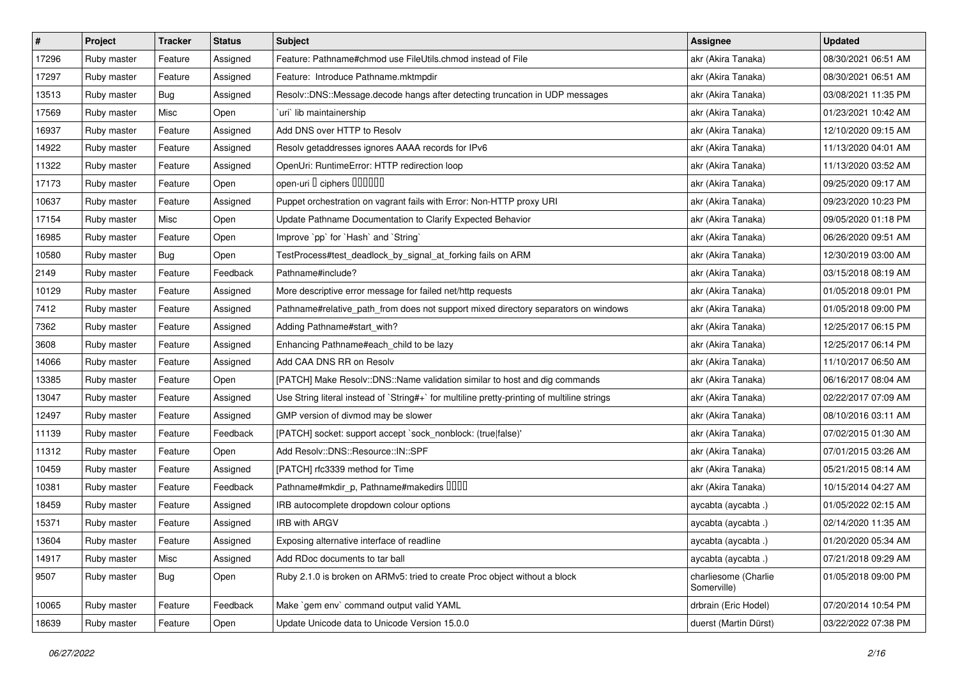| $\pmb{\#}$ | Project     | <b>Tracker</b> | <b>Status</b> | <b>Subject</b>                                                                              | <b>Assignee</b>                     | <b>Updated</b>      |
|------------|-------------|----------------|---------------|---------------------------------------------------------------------------------------------|-------------------------------------|---------------------|
| 17296      | Ruby master | Feature        | Assigned      | Feature: Pathname#chmod use FileUtils.chmod instead of File                                 | akr (Akira Tanaka)                  | 08/30/2021 06:51 AM |
| 17297      | Ruby master | Feature        | Assigned      | Feature: Introduce Pathname.mktmpdir                                                        | akr (Akira Tanaka)                  | 08/30/2021 06:51 AM |
| 13513      | Ruby master | Bug            | Assigned      | Resolv::DNS::Message.decode hangs after detecting truncation in UDP messages                | akr (Akira Tanaka)                  | 03/08/2021 11:35 PM |
| 17569      | Ruby master | Misc           | Open          | 'uri' lib maintainership                                                                    | akr (Akira Tanaka)                  | 01/23/2021 10:42 AM |
| 16937      | Ruby master | Feature        | Assigned      | Add DNS over HTTP to Resolv                                                                 | akr (Akira Tanaka)                  | 12/10/2020 09:15 AM |
| 14922      | Ruby master | Feature        | Assigned      | Resolv getaddresses ignores AAAA records for IPv6                                           | akr (Akira Tanaka)                  | 11/13/2020 04:01 AM |
| 11322      | Ruby master | Feature        | Assigned      | OpenUri: RuntimeError: HTTP redirection loop                                                | akr (Akira Tanaka)                  | 11/13/2020 03:52 AM |
| 17173      | Ruby master | Feature        | Open          | open-uri I ciphers IIIIIII                                                                  | akr (Akira Tanaka)                  | 09/25/2020 09:17 AM |
| 10637      | Ruby master | Feature        | Assigned      | Puppet orchestration on vagrant fails with Error: Non-HTTP proxy URI                        | akr (Akira Tanaka)                  | 09/23/2020 10:23 PM |
| 17154      | Ruby master | Misc           | Open          | Update Pathname Documentation to Clarify Expected Behavior                                  | akr (Akira Tanaka)                  | 09/05/2020 01:18 PM |
| 16985      | Ruby master | Feature        | Open          | Improve `pp` for `Hash` and `String`                                                        | akr (Akira Tanaka)                  | 06/26/2020 09:51 AM |
| 10580      | Ruby master | <b>Bug</b>     | Open          | TestProcess#test_deadlock_by_signal_at_forking fails on ARM                                 | akr (Akira Tanaka)                  | 12/30/2019 03:00 AM |
| 2149       | Ruby master | Feature        | Feedback      | Pathname#include?                                                                           | akr (Akira Tanaka)                  | 03/15/2018 08:19 AM |
| 10129      | Ruby master | Feature        | Assigned      | More descriptive error message for failed net/http requests                                 | akr (Akira Tanaka)                  | 01/05/2018 09:01 PM |
| 7412       | Ruby master | Feature        | Assigned      | Pathname#relative_path_from does not support mixed directory separators on windows          | akr (Akira Tanaka)                  | 01/05/2018 09:00 PM |
| 7362       | Ruby master | Feature        | Assigned      | Adding Pathname#start_with?                                                                 | akr (Akira Tanaka)                  | 12/25/2017 06:15 PM |
| 3608       | Ruby master | Feature        | Assigned      | Enhancing Pathname#each_child to be lazy                                                    | akr (Akira Tanaka)                  | 12/25/2017 06:14 PM |
| 14066      | Ruby master | Feature        | Assigned      | Add CAA DNS RR on Resolv                                                                    | akr (Akira Tanaka)                  | 11/10/2017 06:50 AM |
| 13385      | Ruby master | Feature        | Open          | [PATCH] Make Resolv::DNS::Name validation similar to host and dig commands                  | akr (Akira Tanaka)                  | 06/16/2017 08:04 AM |
| 13047      | Ruby master | Feature        | Assigned      | Use String literal instead of `String#+` for multiline pretty-printing of multiline strings | akr (Akira Tanaka)                  | 02/22/2017 07:09 AM |
| 12497      | Ruby master | Feature        | Assigned      | GMP version of divmod may be slower                                                         | akr (Akira Tanaka)                  | 08/10/2016 03:11 AM |
| 11139      | Ruby master | Feature        | Feedback      | [PATCH] socket: support accept `sock_nonblock: (true false)'                                | akr (Akira Tanaka)                  | 07/02/2015 01:30 AM |
| 11312      | Ruby master | Feature        | Open          | Add Resolv::DNS::Resource::IN::SPF                                                          | akr (Akira Tanaka)                  | 07/01/2015 03:26 AM |
| 10459      | Ruby master | Feature        | Assigned      | [PATCH] rfc3339 method for Time                                                             | akr (Akira Tanaka)                  | 05/21/2015 08:14 AM |
| 10381      | Ruby master | Feature        | Feedback      | Pathname#mkdir_p, Pathname#makedirs DDDD                                                    | akr (Akira Tanaka)                  | 10/15/2014 04:27 AM |
| 18459      | Ruby master | Feature        | Assigned      | IRB autocomplete dropdown colour options                                                    | aycabta (aycabta.)                  | 01/05/2022 02:15 AM |
| 15371      | Ruby master | Feature        | Assigned      | <b>IRB with ARGV</b>                                                                        | aycabta (aycabta.)                  | 02/14/2020 11:35 AM |
| 13604      | Ruby master | Feature        | Assigned      | Exposing alternative interface of readline                                                  | aycabta (aycabta .)                 | 01/20/2020 05:34 AM |
| 14917      | Ruby master | Misc           | Assigned      | Add RDoc documents to tar ball                                                              | aycabta (aycabta.)                  | 07/21/2018 09:29 AM |
| 9507       | Ruby master | Bug            | Open          | Ruby 2.1.0 is broken on ARMv5: tried to create Proc object without a block                  | charliesome (Charlie<br>Somerville) | 01/05/2018 09:00 PM |
| 10065      | Ruby master | Feature        | Feedback      | Make `gem env` command output valid YAML                                                    | drbrain (Eric Hodel)                | 07/20/2014 10:54 PM |
| 18639      | Ruby master | Feature        | Open          | Update Unicode data to Unicode Version 15.0.0                                               | duerst (Martin Dürst)               | 03/22/2022 07:38 PM |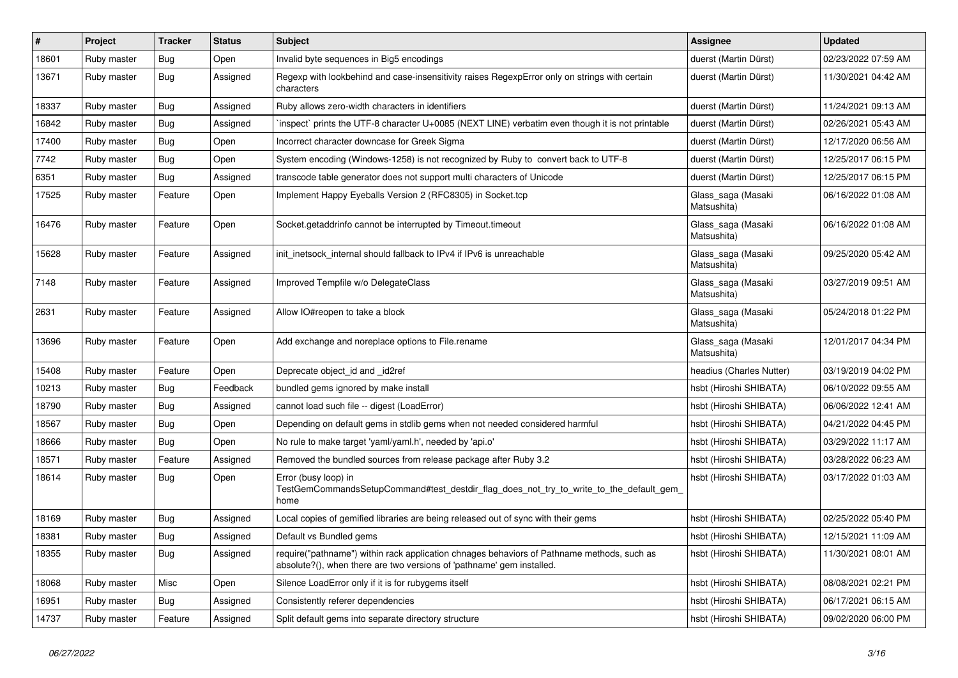| $\sharp$ | Project     | <b>Tracker</b> | <b>Status</b> | <b>Subject</b>                                                                                                                                                      | <b>Assignee</b>                   | <b>Updated</b>      |
|----------|-------------|----------------|---------------|---------------------------------------------------------------------------------------------------------------------------------------------------------------------|-----------------------------------|---------------------|
| 18601    | Ruby master | Bug            | Open          | Invalid byte sequences in Big5 encodings                                                                                                                            | duerst (Martin Dürst)             | 02/23/2022 07:59 AM |
| 13671    | Ruby master | Bug            | Assigned      | Regexp with lookbehind and case-insensitivity raises RegexpError only on strings with certain<br>characters                                                         | duerst (Martin Dürst)             | 11/30/2021 04:42 AM |
| 18337    | Ruby master | Bug            | Assigned      | Ruby allows zero-width characters in identifiers                                                                                                                    | duerst (Martin Dürst)             | 11/24/2021 09:13 AM |
| 16842    | Ruby master | Bug            | Assigned      | inspect` prints the UTF-8 character U+0085 (NEXT LINE) verbatim even though it is not printable                                                                     | duerst (Martin Dürst)             | 02/26/2021 05:43 AM |
| 17400    | Ruby master | <b>Bug</b>     | Open          | Incorrect character downcase for Greek Sigma                                                                                                                        | duerst (Martin Dürst)             | 12/17/2020 06:56 AM |
| 7742     | Ruby master | Bug            | Open          | System encoding (Windows-1258) is not recognized by Ruby to convert back to UTF-8                                                                                   | duerst (Martin Dürst)             | 12/25/2017 06:15 PM |
| 6351     | Ruby master | <b>Bug</b>     | Assigned      | transcode table generator does not support multi characters of Unicode                                                                                              | duerst (Martin Dürst)             | 12/25/2017 06:15 PM |
| 17525    | Ruby master | Feature        | Open          | Implement Happy Eyeballs Version 2 (RFC8305) in Socket.tcp                                                                                                          | Glass_saga (Masaki<br>Matsushita) | 06/16/2022 01:08 AM |
| 16476    | Ruby master | Feature        | Open          | Socket getaddrinfo cannot be interrupted by Timeout timeout                                                                                                         | Glass_saga (Masaki<br>Matsushita) | 06/16/2022 01:08 AM |
| 15628    | Ruby master | Feature        | Assigned      | init inetsock internal should fallback to IPv4 if IPv6 is unreachable                                                                                               | Glass_saga (Masaki<br>Matsushita) | 09/25/2020 05:42 AM |
| 7148     | Ruby master | Feature        | Assigned      | Improved Tempfile w/o DelegateClass                                                                                                                                 | Glass_saga (Masaki<br>Matsushita) | 03/27/2019 09:51 AM |
| 2631     | Ruby master | Feature        | Assigned      | Allow IO#reopen to take a block                                                                                                                                     | Glass_saga (Masaki<br>Matsushita) | 05/24/2018 01:22 PM |
| 13696    | Ruby master | Feature        | Open          | Add exchange and noreplace options to File.rename                                                                                                                   | Glass saga (Masaki<br>Matsushita) | 12/01/2017 04:34 PM |
| 15408    | Ruby master | Feature        | Open          | Deprecate object id and id2ref                                                                                                                                      | headius (Charles Nutter)          | 03/19/2019 04:02 PM |
| 10213    | Ruby master | Bug            | Feedback      | bundled gems ignored by make install                                                                                                                                | hsbt (Hiroshi SHIBATA)            | 06/10/2022 09:55 AM |
| 18790    | Ruby master | Bug            | Assigned      | cannot load such file -- digest (LoadError)                                                                                                                         | hsbt (Hiroshi SHIBATA)            | 06/06/2022 12:41 AM |
| 18567    | Ruby master | Bug            | Open          | Depending on default gems in stdlib gems when not needed considered harmful                                                                                         | hsbt (Hiroshi SHIBATA)            | 04/21/2022 04:45 PM |
| 18666    | Ruby master | Bug            | Open          | No rule to make target 'yaml/yaml.h', needed by 'api.o'                                                                                                             | hsbt (Hiroshi SHIBATA)            | 03/29/2022 11:17 AM |
| 18571    | Ruby master | Feature        | Assigned      | Removed the bundled sources from release package after Ruby 3.2                                                                                                     | hsbt (Hiroshi SHIBATA)            | 03/28/2022 06:23 AM |
| 18614    | Ruby master | Bug            | Open          | Error (busy loop) in<br>TestGemCommandsSetupCommand#test_destdir_flag_does_not_try_to_write_to_the_default_gem_<br>home                                             | hsbt (Hiroshi SHIBATA)            | 03/17/2022 01:03 AM |
| 18169    | Ruby master | <b>Bug</b>     | Assigned      | Local copies of gemified libraries are being released out of sync with their gems                                                                                   | hsbt (Hiroshi SHIBATA)            | 02/25/2022 05:40 PM |
| 18381    | Ruby master | Bug            | Assigned      | Default vs Bundled gems                                                                                                                                             | hsbt (Hiroshi SHIBATA)            | 12/15/2021 11:09 AM |
| 18355    | Ruby master | <b>Bug</b>     | Assigned      | require("pathname") within rack application chnages behaviors of Pathname methods, such as<br>absolute?(), when there are two versions of 'pathname' gem installed. | hsbt (Hiroshi SHIBATA)            | 11/30/2021 08:01 AM |
| 18068    | Ruby master | Misc           | Open          | Silence LoadError only if it is for rubygems itself                                                                                                                 | hsbt (Hiroshi SHIBATA)            | 08/08/2021 02:21 PM |
| 16951    | Ruby master | Bug            | Assigned      | Consistently referer dependencies                                                                                                                                   | hsbt (Hiroshi SHIBATA)            | 06/17/2021 06:15 AM |
| 14737    | Ruby master | Feature        | Assigned      | Split default gems into separate directory structure                                                                                                                | hsbt (Hiroshi SHIBATA)            | 09/02/2020 06:00 PM |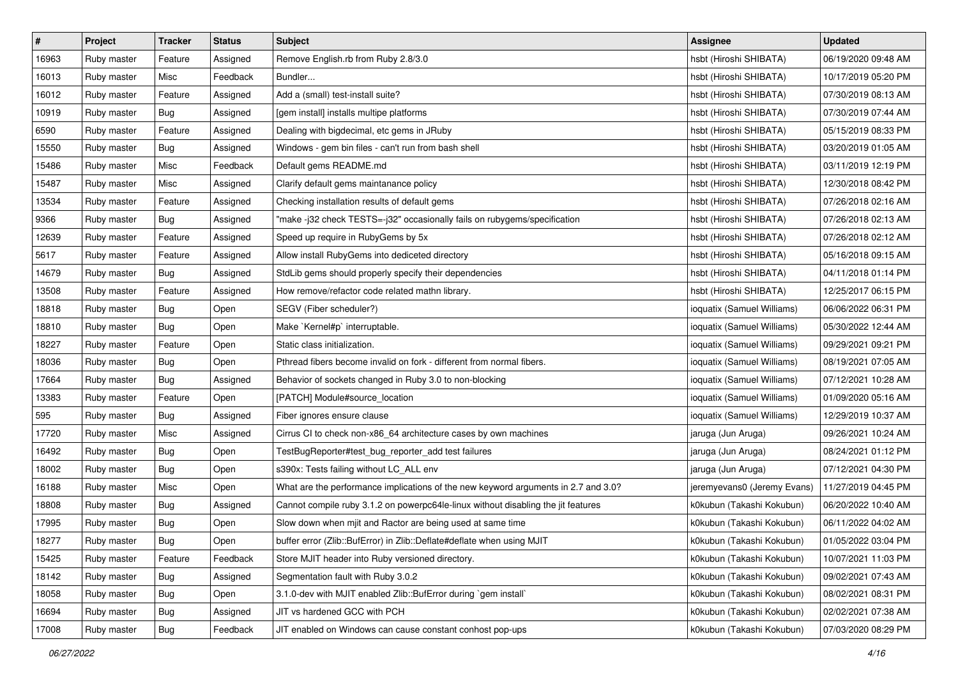| $\pmb{\#}$ | Project     | <b>Tracker</b> | <b>Status</b> | <b>Subject</b>                                                                     | <b>Assignee</b>             | <b>Updated</b>      |
|------------|-------------|----------------|---------------|------------------------------------------------------------------------------------|-----------------------------|---------------------|
| 16963      | Ruby master | Feature        | Assigned      | Remove English.rb from Ruby 2.8/3.0                                                | hsbt (Hiroshi SHIBATA)      | 06/19/2020 09:48 AM |
| 16013      | Ruby master | Misc           | Feedback      | Bundler                                                                            | hsbt (Hiroshi SHIBATA)      | 10/17/2019 05:20 PM |
| 16012      | Ruby master | Feature        | Assigned      | Add a (small) test-install suite?                                                  | hsbt (Hiroshi SHIBATA)      | 07/30/2019 08:13 AM |
| 10919      | Ruby master | Bug            | Assigned      | [gem install] installs multipe platforms                                           | hsbt (Hiroshi SHIBATA)      | 07/30/2019 07:44 AM |
| 6590       | Ruby master | Feature        | Assigned      | Dealing with bigdecimal, etc gems in JRuby                                         | hsbt (Hiroshi SHIBATA)      | 05/15/2019 08:33 PM |
| 15550      | Ruby master | <b>Bug</b>     | Assigned      | Windows - gem bin files - can't run from bash shell                                | hsbt (Hiroshi SHIBATA)      | 03/20/2019 01:05 AM |
| 15486      | Ruby master | Misc           | Feedback      | Default gems README.md                                                             | hsbt (Hiroshi SHIBATA)      | 03/11/2019 12:19 PM |
| 15487      | Ruby master | Misc           | Assigned      | Clarify default gems maintanance policy                                            | hsbt (Hiroshi SHIBATA)      | 12/30/2018 08:42 PM |
| 13534      | Ruby master | Feature        | Assigned      | Checking installation results of default gems                                      | hsbt (Hiroshi SHIBATA)      | 07/26/2018 02:16 AM |
| 9366       | Ruby master | <b>Bug</b>     | Assigned      | "make -j32 check TESTS=-j32" occasionally fails on rubygems/specification          | hsbt (Hiroshi SHIBATA)      | 07/26/2018 02:13 AM |
| 12639      | Ruby master | Feature        | Assigned      | Speed up require in RubyGems by 5x                                                 | hsbt (Hiroshi SHIBATA)      | 07/26/2018 02:12 AM |
| 5617       | Ruby master | Feature        | Assigned      | Allow install RubyGems into dediceted directory                                    | hsbt (Hiroshi SHIBATA)      | 05/16/2018 09:15 AM |
| 14679      | Ruby master | Bug            | Assigned      | StdLib gems should properly specify their dependencies                             | hsbt (Hiroshi SHIBATA)      | 04/11/2018 01:14 PM |
| 13508      | Ruby master | Feature        | Assigned      | How remove/refactor code related mathn library.                                    | hsbt (Hiroshi SHIBATA)      | 12/25/2017 06:15 PM |
| 18818      | Ruby master | <b>Bug</b>     | Open          | SEGV (Fiber scheduler?)                                                            | ioquatix (Samuel Williams)  | 06/06/2022 06:31 PM |
| 18810      | Ruby master | <b>Bug</b>     | Open          | Make `Kernel#p` interruptable.                                                     | ioquatix (Samuel Williams)  | 05/30/2022 12:44 AM |
| 18227      | Ruby master | Feature        | Open          | Static class initialization.                                                       | ioquatix (Samuel Williams)  | 09/29/2021 09:21 PM |
| 18036      | Ruby master | Bug            | Open          | Pthread fibers become invalid on fork - different from normal fibers.              | ioquatix (Samuel Williams)  | 08/19/2021 07:05 AM |
| 17664      | Ruby master | <b>Bug</b>     | Assigned      | Behavior of sockets changed in Ruby 3.0 to non-blocking                            | ioquatix (Samuel Williams)  | 07/12/2021 10:28 AM |
| 13383      | Ruby master | Feature        | Open          | [PATCH] Module#source_location                                                     | ioquatix (Samuel Williams)  | 01/09/2020 05:16 AM |
| 595        | Ruby master | <b>Bug</b>     | Assigned      | Fiber ignores ensure clause                                                        | ioquatix (Samuel Williams)  | 12/29/2019 10:37 AM |
| 17720      | Ruby master | Misc           | Assigned      | Cirrus CI to check non-x86_64 architecture cases by own machines                   | jaruga (Jun Aruga)          | 09/26/2021 10:24 AM |
| 16492      | Ruby master | <b>Bug</b>     | Open          | TestBugReporter#test_bug_reporter_add test failures                                | jaruga (Jun Aruga)          | 08/24/2021 01:12 PM |
| 18002      | Ruby master | <b>Bug</b>     | Open          | s390x: Tests failing without LC_ALL env                                            | jaruga (Jun Aruga)          | 07/12/2021 04:30 PM |
| 16188      | Ruby master | Misc           | Open          | What are the performance implications of the new keyword arguments in 2.7 and 3.0? | jeremyevans0 (Jeremy Evans) | 11/27/2019 04:45 PM |
| 18808      | Ruby master | Bug            | Assigned      | Cannot compile ruby 3.1.2 on powerpc64le-linux without disabling the jit features  | k0kubun (Takashi Kokubun)   | 06/20/2022 10:40 AM |
| 17995      | Ruby master | <b>Bug</b>     | Open          | Slow down when mjit and Ractor are being used at same time                         | k0kubun (Takashi Kokubun)   | 06/11/2022 04:02 AM |
| 18277      | Ruby master | Bug            | Open          | buffer error (Zlib::BufError) in Zlib::Deflate#deflate when using MJIT             | k0kubun (Takashi Kokubun)   | 01/05/2022 03:04 PM |
| 15425      | Ruby master | Feature        | Feedback      | Store MJIT header into Ruby versioned directory.                                   | k0kubun (Takashi Kokubun)   | 10/07/2021 11:03 PM |
| 18142      | Ruby master | Bug            | Assigned      | Segmentation fault with Ruby 3.0.2                                                 | k0kubun (Takashi Kokubun)   | 09/02/2021 07:43 AM |
| 18058      | Ruby master | Bug            | Open          | 3.1.0-dev with MJIT enabled Zlib::BufError during `gem install`                    | k0kubun (Takashi Kokubun)   | 08/02/2021 08:31 PM |
| 16694      | Ruby master | <b>Bug</b>     | Assigned      | JIT vs hardened GCC with PCH                                                       | k0kubun (Takashi Kokubun)   | 02/02/2021 07:38 AM |
| 17008      | Ruby master | <b>Bug</b>     | Feedback      | JIT enabled on Windows can cause constant conhost pop-ups                          | k0kubun (Takashi Kokubun)   | 07/03/2020 08:29 PM |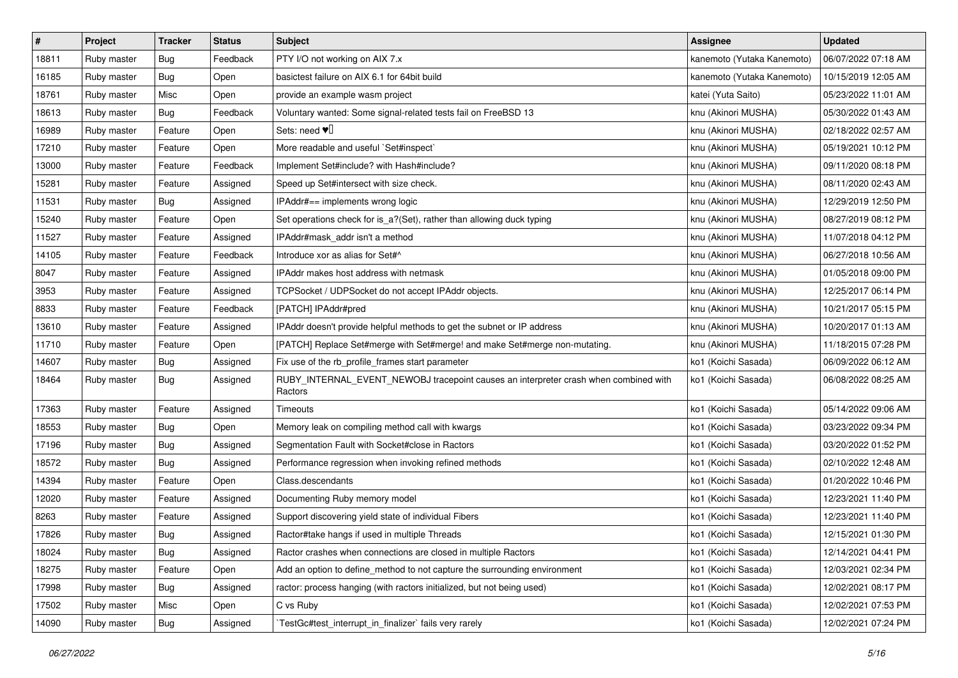| $\sharp$ | Project     | <b>Tracker</b> | <b>Status</b> | Subject                                                                                         | <b>Assignee</b>            | <b>Updated</b>      |
|----------|-------------|----------------|---------------|-------------------------------------------------------------------------------------------------|----------------------------|---------------------|
| 18811    | Ruby master | <b>Bug</b>     | Feedback      | PTY I/O not working on AIX 7.x                                                                  | kanemoto (Yutaka Kanemoto) | 06/07/2022 07:18 AM |
| 16185    | Ruby master | <b>Bug</b>     | Open          | basictest failure on AIX 6.1 for 64bit build                                                    | kanemoto (Yutaka Kanemoto) | 10/15/2019 12:05 AM |
| 18761    | Ruby master | Misc           | Open          | provide an example wasm project                                                                 | katei (Yuta Saito)         | 05/23/2022 11:01 AM |
| 18613    | Ruby master | <b>Bug</b>     | Feedback      | Voluntary wanted: Some signal-related tests fail on FreeBSD 13                                  | knu (Akinori MUSHA)        | 05/30/2022 01:43 AM |
| 16989    | Ruby master | Feature        | Open          | Sets: need $\Psi$                                                                               | knu (Akinori MUSHA)        | 02/18/2022 02:57 AM |
| 17210    | Ruby master | Feature        | Open          | More readable and useful `Set#inspect`                                                          | knu (Akinori MUSHA)        | 05/19/2021 10:12 PM |
| 13000    | Ruby master | Feature        | Feedback      | Implement Set#include? with Hash#include?                                                       | knu (Akinori MUSHA)        | 09/11/2020 08:18 PM |
| 15281    | Ruby master | Feature        | Assigned      | Speed up Set#intersect with size check.                                                         | knu (Akinori MUSHA)        | 08/11/2020 02:43 AM |
| 11531    | Ruby master | <b>Bug</b>     | Assigned      | IPAddr#== implements wrong logic                                                                | knu (Akinori MUSHA)        | 12/29/2019 12:50 PM |
| 15240    | Ruby master | Feature        | Open          | Set operations check for is_a?(Set), rather than allowing duck typing                           | knu (Akinori MUSHA)        | 08/27/2019 08:12 PM |
| 11527    | Ruby master | Feature        | Assigned      | IPAddr#mask_addr isn't a method                                                                 | knu (Akinori MUSHA)        | 11/07/2018 04:12 PM |
| 14105    | Ruby master | Feature        | Feedback      | Introduce xor as alias for Set#^                                                                | knu (Akinori MUSHA)        | 06/27/2018 10:56 AM |
| 8047     | Ruby master | Feature        | Assigned      | <b>IPAddr makes host address with netmask</b>                                                   | knu (Akinori MUSHA)        | 01/05/2018 09:00 PM |
| 3953     | Ruby master | Feature        | Assigned      | TCPSocket / UDPSocket do not accept IPAddr objects.                                             | knu (Akinori MUSHA)        | 12/25/2017 06:14 PM |
| 8833     | Ruby master | Feature        | Feedback      | [PATCH] IPAddr#pred                                                                             | knu (Akinori MUSHA)        | 10/21/2017 05:15 PM |
| 13610    | Ruby master | Feature        | Assigned      | IPAddr doesn't provide helpful methods to get the subnet or IP address                          | knu (Akinori MUSHA)        | 10/20/2017 01:13 AM |
| 11710    | Ruby master | Feature        | Open          | [PATCH] Replace Set#merge with Set#merge! and make Set#merge non-mutating.                      | knu (Akinori MUSHA)        | 11/18/2015 07:28 PM |
| 14607    | Ruby master | <b>Bug</b>     | Assigned      | Fix use of the rb_profile_frames start parameter                                                | ko1 (Koichi Sasada)        | 06/09/2022 06:12 AM |
| 18464    | Ruby master | <b>Bug</b>     | Assigned      | RUBY_INTERNAL_EVENT_NEWOBJ tracepoint causes an interpreter crash when combined with<br>Ractors | ko1 (Koichi Sasada)        | 06/08/2022 08:25 AM |
| 17363    | Ruby master | Feature        | Assigned      | <b>Timeouts</b>                                                                                 | ko1 (Koichi Sasada)        | 05/14/2022 09:06 AM |
| 18553    | Ruby master | <b>Bug</b>     | Open          | Memory leak on compiling method call with kwargs                                                | ko1 (Koichi Sasada)        | 03/23/2022 09:34 PM |
| 17196    | Ruby master | <b>Bug</b>     | Assigned      | Segmentation Fault with Socket#close in Ractors                                                 | ko1 (Koichi Sasada)        | 03/20/2022 01:52 PM |
| 18572    | Ruby master | <b>Bug</b>     | Assigned      | Performance regression when invoking refined methods                                            | ko1 (Koichi Sasada)        | 02/10/2022 12:48 AM |
| 14394    | Ruby master | Feature        | Open          | Class.descendants                                                                               | ko1 (Koichi Sasada)        | 01/20/2022 10:46 PM |
| 12020    | Ruby master | Feature        | Assigned      | Documenting Ruby memory model                                                                   | ko1 (Koichi Sasada)        | 12/23/2021 11:40 PM |
| 8263     | Ruby master | Feature        | Assigned      | Support discovering yield state of individual Fibers                                            | ko1 (Koichi Sasada)        | 12/23/2021 11:40 PM |
| 17826    | Ruby master | <b>Bug</b>     | Assigned      | Ractor#take hangs if used in multiple Threads                                                   | ko1 (Koichi Sasada)        | 12/15/2021 01:30 PM |
| 18024    | Ruby master | <b>Bug</b>     | Assigned      | Ractor crashes when connections are closed in multiple Ractors                                  | ko1 (Koichi Sasada)        | 12/14/2021 04:41 PM |
| 18275    | Ruby master | Feature        | Open          | Add an option to define_method to not capture the surrounding environment                       | ko1 (Koichi Sasada)        | 12/03/2021 02:34 PM |
| 17998    | Ruby master | <b>Bug</b>     | Assigned      | ractor: process hanging (with ractors initialized, but not being used)                          | ko1 (Koichi Sasada)        | 12/02/2021 08:17 PM |
| 17502    | Ruby master | Misc           | Open          | C vs Ruby                                                                                       | ko1 (Koichi Sasada)        | 12/02/2021 07:53 PM |
| 14090    | Ruby master | <b>Bug</b>     | Assigned      | TestGc#test_interrupt_in_finalizer` fails very rarely                                           | ko1 (Koichi Sasada)        | 12/02/2021 07:24 PM |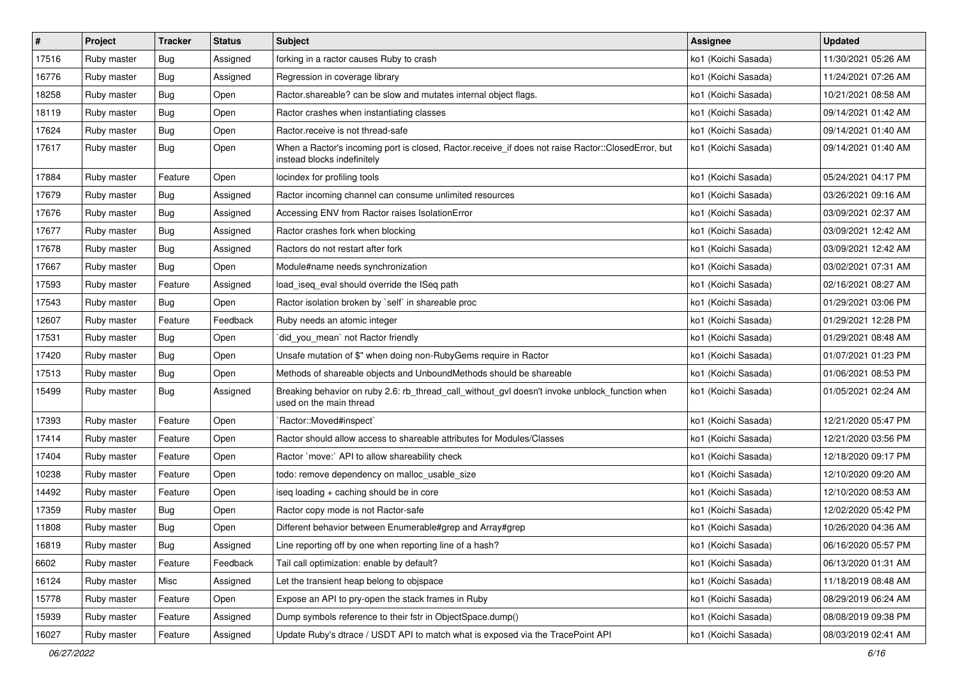| #     | Project     | <b>Tracker</b> | <b>Status</b> | Subject                                                                                                                           | <b>Assignee</b>     | <b>Updated</b>      |
|-------|-------------|----------------|---------------|-----------------------------------------------------------------------------------------------------------------------------------|---------------------|---------------------|
| 17516 | Ruby master | <b>Bug</b>     | Assigned      | forking in a ractor causes Ruby to crash                                                                                          | ko1 (Koichi Sasada) | 11/30/2021 05:26 AM |
| 16776 | Ruby master | Bug            | Assigned      | Regression in coverage library                                                                                                    | ko1 (Koichi Sasada) | 11/24/2021 07:26 AM |
| 18258 | Ruby master | Bug            | Open          | Ractor.shareable? can be slow and mutates internal object flags.                                                                  | ko1 (Koichi Sasada) | 10/21/2021 08:58 AM |
| 18119 | Ruby master | <b>Bug</b>     | Open          | Ractor crashes when instantiating classes                                                                                         | ko1 (Koichi Sasada) | 09/14/2021 01:42 AM |
| 17624 | Ruby master | <b>Bug</b>     | Open          | Ractor.receive is not thread-safe                                                                                                 | ko1 (Koichi Sasada) | 09/14/2021 01:40 AM |
| 17617 | Ruby master | Bug            | Open          | When a Ractor's incoming port is closed, Ractor.receive_if does not raise Ractor::ClosedError, but<br>instead blocks indefinitely | ko1 (Koichi Sasada) | 09/14/2021 01:40 AM |
| 17884 | Ruby master | Feature        | Open          | locindex for profiling tools                                                                                                      | ko1 (Koichi Sasada) | 05/24/2021 04:17 PM |
| 17679 | Ruby master | <b>Bug</b>     | Assigned      | Ractor incoming channel can consume unlimited resources                                                                           | ko1 (Koichi Sasada) | 03/26/2021 09:16 AM |
| 17676 | Ruby master | <b>Bug</b>     | Assigned      | Accessing ENV from Ractor raises IsolationError                                                                                   | ko1 (Koichi Sasada) | 03/09/2021 02:37 AM |
| 17677 | Ruby master | Bug            | Assigned      | Ractor crashes fork when blocking                                                                                                 | ko1 (Koichi Sasada) | 03/09/2021 12:42 AM |
| 17678 | Ruby master | <b>Bug</b>     | Assigned      | Ractors do not restart after fork                                                                                                 | ko1 (Koichi Sasada) | 03/09/2021 12:42 AM |
| 17667 | Ruby master | <b>Bug</b>     | Open          | Module#name needs synchronization                                                                                                 | ko1 (Koichi Sasada) | 03/02/2021 07:31 AM |
| 17593 | Ruby master | Feature        | Assigned      | load_iseq_eval should override the ISeq path                                                                                      | ko1 (Koichi Sasada) | 02/16/2021 08:27 AM |
| 17543 | Ruby master | Bug            | Open          | Ractor isolation broken by `self` in shareable proc                                                                               | ko1 (Koichi Sasada) | 01/29/2021 03:06 PM |
| 12607 | Ruby master | Feature        | Feedback      | Ruby needs an atomic integer                                                                                                      | ko1 (Koichi Sasada) | 01/29/2021 12:28 PM |
| 17531 | Ruby master | <b>Bug</b>     | Open          | did_you_mean' not Ractor friendly                                                                                                 | ko1 (Koichi Sasada) | 01/29/2021 08:48 AM |
| 17420 | Ruby master | Bug            | Open          | Unsafe mutation of \$" when doing non-RubyGems require in Ractor                                                                  | ko1 (Koichi Sasada) | 01/07/2021 01:23 PM |
| 17513 | Ruby master | <b>Bug</b>     | Open          | Methods of shareable objects and UnboundMethods should be shareable                                                               | ko1 (Koichi Sasada) | 01/06/2021 08:53 PM |
| 15499 | Ruby master | <b>Bug</b>     | Assigned      | Breaking behavior on ruby 2.6: rb_thread_call_without_gvl doesn't invoke unblock_function when<br>used on the main thread         | ko1 (Koichi Sasada) | 01/05/2021 02:24 AM |
| 17393 | Ruby master | Feature        | Open          | `Ractor::Moved#inspect`                                                                                                           | ko1 (Koichi Sasada) | 12/21/2020 05:47 PM |
| 17414 | Ruby master | Feature        | Open          | Ractor should allow access to shareable attributes for Modules/Classes                                                            | ko1 (Koichi Sasada) | 12/21/2020 03:56 PM |
| 17404 | Ruby master | Feature        | Open          | Ractor `move:` API to allow shareability check                                                                                    | ko1 (Koichi Sasada) | 12/18/2020 09:17 PM |
| 10238 | Ruby master | Feature        | Open          | todo: remove dependency on malloc_usable_size                                                                                     | ko1 (Koichi Sasada) | 12/10/2020 09:20 AM |
| 14492 | Ruby master | Feature        | Open          | iseq loading + caching should be in core                                                                                          | ko1 (Koichi Sasada) | 12/10/2020 08:53 AM |
| 17359 | Ruby master | <b>Bug</b>     | Open          | Ractor copy mode is not Ractor-safe                                                                                               | ko1 (Koichi Sasada) | 12/02/2020 05:42 PM |
| 11808 | Ruby master | <b>Bug</b>     | Open          | Different behavior between Enumerable#grep and Array#grep                                                                         | ko1 (Koichi Sasada) | 10/26/2020 04:36 AM |
| 16819 | Ruby master | Bug            | Assigned      | Line reporting off by one when reporting line of a hash?                                                                          | ko1 (Koichi Sasada) | 06/16/2020 05:57 PM |
| 6602  | Ruby master | Feature        | Feedback      | Tail call optimization: enable by default?                                                                                        | ko1 (Koichi Sasada) | 06/13/2020 01:31 AM |
| 16124 | Ruby master | Misc           | Assigned      | Let the transient heap belong to objspace                                                                                         | ko1 (Koichi Sasada) | 11/18/2019 08:48 AM |
| 15778 | Ruby master | Feature        | Open          | Expose an API to pry-open the stack frames in Ruby                                                                                | ko1 (Koichi Sasada) | 08/29/2019 06:24 AM |
| 15939 | Ruby master | Feature        | Assigned      | Dump symbols reference to their fstr in ObjectSpace.dump()                                                                        | ko1 (Koichi Sasada) | 08/08/2019 09:38 PM |
| 16027 | Ruby master | Feature        | Assigned      | Update Ruby's dtrace / USDT API to match what is exposed via the TracePoint API                                                   | ko1 (Koichi Sasada) | 08/03/2019 02:41 AM |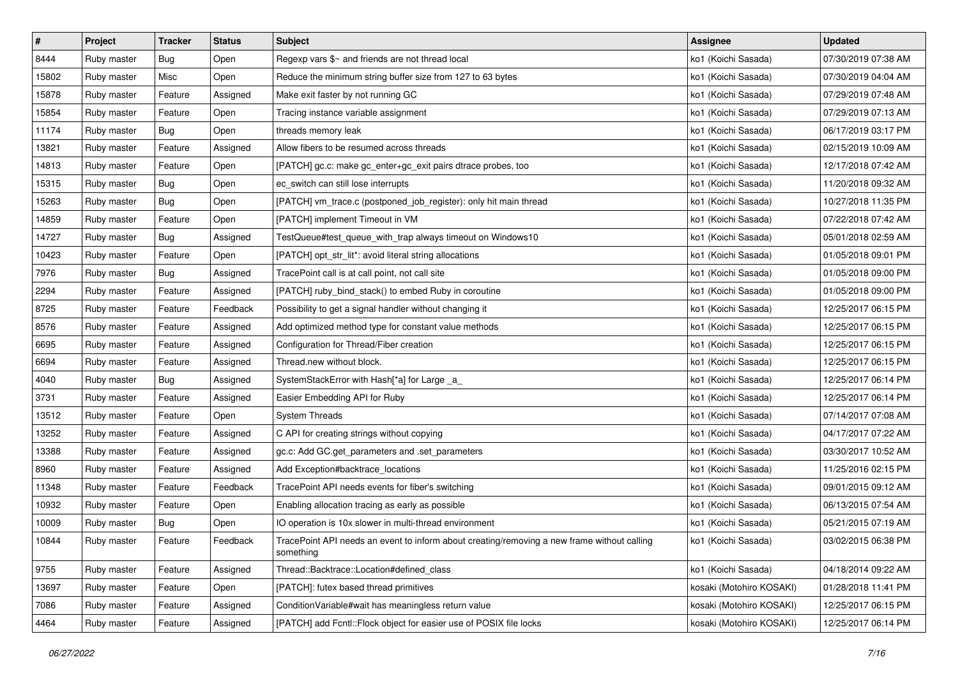| $\pmb{\#}$ | Project     | <b>Tracker</b> | <b>Status</b> | <b>Subject</b>                                                                                           | <b>Assignee</b>          | <b>Updated</b>      |
|------------|-------------|----------------|---------------|----------------------------------------------------------------------------------------------------------|--------------------------|---------------------|
| 8444       | Ruby master | <b>Bug</b>     | Open          | Regexp vars \$~ and friends are not thread local                                                         | ko1 (Koichi Sasada)      | 07/30/2019 07:38 AM |
| 15802      | Ruby master | Misc           | Open          | Reduce the minimum string buffer size from 127 to 63 bytes                                               | ko1 (Koichi Sasada)      | 07/30/2019 04:04 AM |
| 15878      | Ruby master | Feature        | Assigned      | Make exit faster by not running GC                                                                       | ko1 (Koichi Sasada)      | 07/29/2019 07:48 AM |
| 15854      | Ruby master | Feature        | Open          | Tracing instance variable assignment                                                                     | ko1 (Koichi Sasada)      | 07/29/2019 07:13 AM |
| 11174      | Ruby master | Bug            | Open          | threads memory leak                                                                                      | ko1 (Koichi Sasada)      | 06/17/2019 03:17 PM |
| 13821      | Ruby master | Feature        | Assigned      | Allow fibers to be resumed across threads                                                                | ko1 (Koichi Sasada)      | 02/15/2019 10:09 AM |
| 14813      | Ruby master | Feature        | Open          | [PATCH] gc.c: make gc_enter+gc_exit pairs dtrace probes, too                                             | ko1 (Koichi Sasada)      | 12/17/2018 07:42 AM |
| 15315      | Ruby master | Bug            | Open          | ec_switch can still lose interrupts                                                                      | ko1 (Koichi Sasada)      | 11/20/2018 09:32 AM |
| 15263      | Ruby master | <b>Bug</b>     | Open          | [PATCH] vm_trace.c (postponed_job_register): only hit main thread                                        | ko1 (Koichi Sasada)      | 10/27/2018 11:35 PM |
| 14859      | Ruby master | Feature        | Open          | [PATCH] implement Timeout in VM                                                                          | ko1 (Koichi Sasada)      | 07/22/2018 07:42 AM |
| 14727      | Ruby master | Bug            | Assigned      | TestQueue#test_queue_with_trap always timeout on Windows10                                               | ko1 (Koichi Sasada)      | 05/01/2018 02:59 AM |
| 10423      | Ruby master | Feature        | Open          | [PATCH] opt_str_lit*: avoid literal string allocations                                                   | ko1 (Koichi Sasada)      | 01/05/2018 09:01 PM |
| 7976       | Ruby master | Bug            | Assigned      | TracePoint call is at call point, not call site                                                          | ko1 (Koichi Sasada)      | 01/05/2018 09:00 PM |
| 2294       | Ruby master | Feature        | Assigned      | [PATCH] ruby_bind_stack() to embed Ruby in coroutine                                                     | ko1 (Koichi Sasada)      | 01/05/2018 09:00 PM |
| 8725       | Ruby master | Feature        | Feedback      | Possibility to get a signal handler without changing it                                                  | ko1 (Koichi Sasada)      | 12/25/2017 06:15 PM |
| 8576       | Ruby master | Feature        | Assigned      | Add optimized method type for constant value methods                                                     | ko1 (Koichi Sasada)      | 12/25/2017 06:15 PM |
| 6695       | Ruby master | Feature        | Assigned      | Configuration for Thread/Fiber creation                                                                  | ko1 (Koichi Sasada)      | 12/25/2017 06:15 PM |
| 6694       | Ruby master | Feature        | Assigned      | Thread.new without block.                                                                                | ko1 (Koichi Sasada)      | 12/25/2017 06:15 PM |
| 4040       | Ruby master | <b>Bug</b>     | Assigned      | SystemStackError with Hash[*a] for Large _a_                                                             | ko1 (Koichi Sasada)      | 12/25/2017 06:14 PM |
| 3731       | Ruby master | Feature        | Assigned      | Easier Embedding API for Ruby                                                                            | ko1 (Koichi Sasada)      | 12/25/2017 06:14 PM |
| 13512      | Ruby master | Feature        | Open          | <b>System Threads</b>                                                                                    | ko1 (Koichi Sasada)      | 07/14/2017 07:08 AM |
| 13252      | Ruby master | Feature        | Assigned      | C API for creating strings without copying                                                               | ko1 (Koichi Sasada)      | 04/17/2017 07:22 AM |
| 13388      | Ruby master | Feature        | Assigned      | gc.c: Add GC.get_parameters and .set_parameters                                                          | ko1 (Koichi Sasada)      | 03/30/2017 10:52 AM |
| 8960       | Ruby master | Feature        | Assigned      | Add Exception#backtrace_locations                                                                        | ko1 (Koichi Sasada)      | 11/25/2016 02:15 PM |
| 11348      | Ruby master | Feature        | Feedback      | TracePoint API needs events for fiber's switching                                                        | ko1 (Koichi Sasada)      | 09/01/2015 09:12 AM |
| 10932      | Ruby master | Feature        | Open          | Enabling allocation tracing as early as possible                                                         | ko1 (Koichi Sasada)      | 06/13/2015 07:54 AM |
| 10009      | Ruby master | <b>Bug</b>     | Open          | IO operation is 10x slower in multi-thread environment                                                   | ko1 (Koichi Sasada)      | 05/21/2015 07:19 AM |
| 10844      | Ruby master | Feature        | Feedback      | TracePoint API needs an event to inform about creating/removing a new frame without calling<br>something | ko1 (Koichi Sasada)      | 03/02/2015 06:38 PM |
| 9755       | Ruby master | Feature        | Assigned      | Thread::Backtrace::Location#defined class                                                                | ko1 (Koichi Sasada)      | 04/18/2014 09:22 AM |
| 13697      | Ruby master | Feature        | Open          | [PATCH]: futex based thread primitives                                                                   | kosaki (Motohiro KOSAKI) | 01/28/2018 11:41 PM |
| 7086       | Ruby master | Feature        | Assigned      | ConditionVariable#wait has meaningless return value                                                      | kosaki (Motohiro KOSAKI) | 12/25/2017 06:15 PM |
| 4464       | Ruby master | Feature        | Assigned      | [PATCH] add Fcntl::Flock object for easier use of POSIX file locks                                       | kosaki (Motohiro KOSAKI) | 12/25/2017 06:14 PM |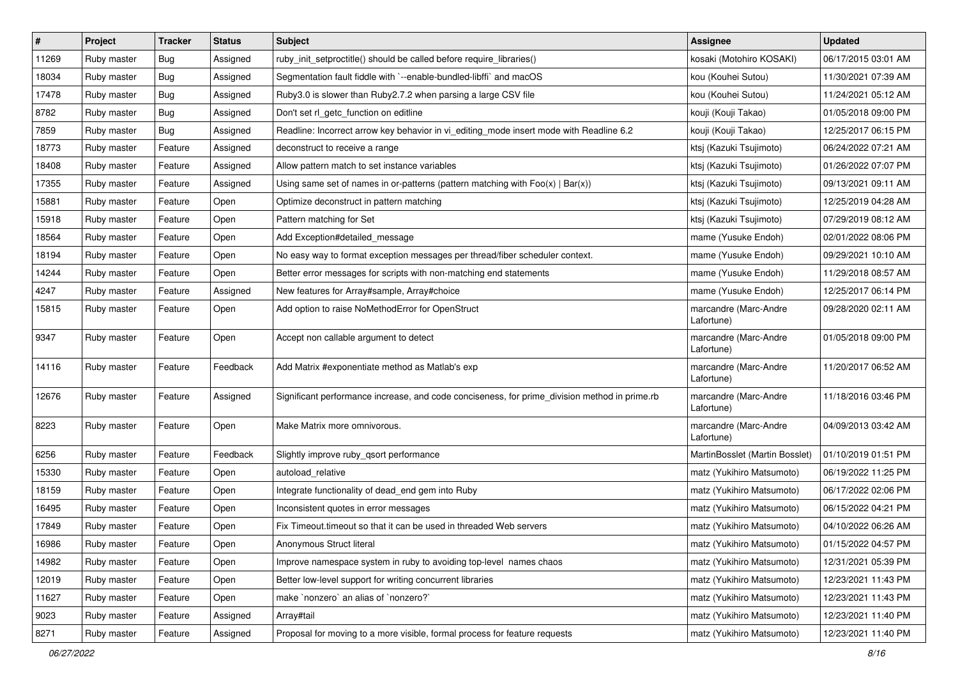| $\vert$ # | Project     | <b>Tracker</b> | <b>Status</b> | <b>Subject</b>                                                                                | <b>Assignee</b>                     | <b>Updated</b>      |
|-----------|-------------|----------------|---------------|-----------------------------------------------------------------------------------------------|-------------------------------------|---------------------|
| 11269     | Ruby master | <b>Bug</b>     | Assigned      | ruby_init_setproctitle() should be called before require_libraries()                          | kosaki (Motohiro KOSAKI)            | 06/17/2015 03:01 AM |
| 18034     | Ruby master | Bug            | Assigned      | Segmentation fault fiddle with `--enable-bundled-libffi` and macOS                            | kou (Kouhei Sutou)                  | 11/30/2021 07:39 AM |
| 17478     | Ruby master | Bug            | Assigned      | Ruby3.0 is slower than Ruby2.7.2 when parsing a large CSV file                                | kou (Kouhei Sutou)                  | 11/24/2021 05:12 AM |
| 8782      | Ruby master | <b>Bug</b>     | Assigned      | Don't set rl_getc_function on editline                                                        | kouji (Kouji Takao)                 | 01/05/2018 09:00 PM |
| 7859      | Ruby master | Bug            | Assigned      | Readline: Incorrect arrow key behavior in vi_editing_mode insert mode with Readline 6.2       | kouji (Kouji Takao)                 | 12/25/2017 06:15 PM |
| 18773     | Ruby master | Feature        | Assigned      | deconstruct to receive a range                                                                | ktsj (Kazuki Tsujimoto)             | 06/24/2022 07:21 AM |
| 18408     | Ruby master | Feature        | Assigned      | Allow pattern match to set instance variables                                                 | ktsj (Kazuki Tsujimoto)             | 01/26/2022 07:07 PM |
| 17355     | Ruby master | Feature        | Assigned      | Using same set of names in or-patterns (pattern matching with $Foo(x)   Bar(x)$ )             | ktsj (Kazuki Tsujimoto)             | 09/13/2021 09:11 AM |
| 15881     | Ruby master | Feature        | Open          | Optimize deconstruct in pattern matching                                                      | ktsj (Kazuki Tsujimoto)             | 12/25/2019 04:28 AM |
| 15918     | Ruby master | Feature        | Open          | Pattern matching for Set                                                                      | ktsj (Kazuki Tsujimoto)             | 07/29/2019 08:12 AM |
| 18564     | Ruby master | Feature        | Open          | Add Exception#detailed_message                                                                | mame (Yusuke Endoh)                 | 02/01/2022 08:06 PM |
| 18194     | Ruby master | Feature        | Open          | No easy way to format exception messages per thread/fiber scheduler context.                  | mame (Yusuke Endoh)                 | 09/29/2021 10:10 AM |
| 14244     | Ruby master | Feature        | Open          | Better error messages for scripts with non-matching end statements                            | mame (Yusuke Endoh)                 | 11/29/2018 08:57 AM |
| 4247      | Ruby master | Feature        | Assigned      | New features for Array#sample, Array#choice                                                   | mame (Yusuke Endoh)                 | 12/25/2017 06:14 PM |
| 15815     | Ruby master | Feature        | Open          | Add option to raise NoMethodError for OpenStruct                                              | marcandre (Marc-Andre<br>Lafortune) | 09/28/2020 02:11 AM |
| 9347      | Ruby master | Feature        | Open          | Accept non callable argument to detect                                                        | marcandre (Marc-Andre<br>Lafortune) | 01/05/2018 09:00 PM |
| 14116     | Ruby master | Feature        | Feedback      | Add Matrix #exponentiate method as Matlab's exp                                               | marcandre (Marc-Andre<br>Lafortune) | 11/20/2017 06:52 AM |
| 12676     | Ruby master | Feature        | Assigned      | Significant performance increase, and code conciseness, for prime_division method in prime.rb | marcandre (Marc-Andre<br>Lafortune) | 11/18/2016 03:46 PM |
| 8223      | Ruby master | Feature        | Open          | Make Matrix more omnivorous.                                                                  | marcandre (Marc-Andre<br>Lafortune) | 04/09/2013 03:42 AM |
| 6256      | Ruby master | Feature        | Feedback      | Slightly improve ruby_qsort performance                                                       | MartinBosslet (Martin Bosslet)      | 01/10/2019 01:51 PM |
| 15330     | Ruby master | Feature        | Open          | autoload relative                                                                             | matz (Yukihiro Matsumoto)           | 06/19/2022 11:25 PM |
| 18159     | Ruby master | Feature        | Open          | Integrate functionality of dead end gem into Ruby                                             | matz (Yukihiro Matsumoto)           | 06/17/2022 02:06 PM |
| 16495     | Ruby master | Feature        | Open          | Inconsistent quotes in error messages                                                         | matz (Yukihiro Matsumoto)           | 06/15/2022 04:21 PM |
| 17849     | Ruby master | Feature        | Open          | Fix Timeout.timeout so that it can be used in threaded Web servers                            | matz (Yukihiro Matsumoto)           | 04/10/2022 06:26 AM |
| 16986     | Ruby master | Feature        | Open          | Anonymous Struct literal                                                                      | matz (Yukihiro Matsumoto)           | 01/15/2022 04:57 PM |
| 14982     | Ruby master | Feature        | Open          | Improve namespace system in ruby to avoiding top-level names chaos                            | matz (Yukihiro Matsumoto)           | 12/31/2021 05:39 PM |
| 12019     | Ruby master | Feature        | Open          | Better low-level support for writing concurrent libraries                                     | matz (Yukihiro Matsumoto)           | 12/23/2021 11:43 PM |
| 11627     | Ruby master | Feature        | Open          | make `nonzero` an alias of `nonzero?`                                                         | matz (Yukihiro Matsumoto)           | 12/23/2021 11:43 PM |
| 9023      | Ruby master | Feature        | Assigned      | Array#tail                                                                                    | matz (Yukihiro Matsumoto)           | 12/23/2021 11:40 PM |
| 8271      | Ruby master | Feature        | Assigned      | Proposal for moving to a more visible, formal process for feature requests                    | matz (Yukihiro Matsumoto)           | 12/23/2021 11:40 PM |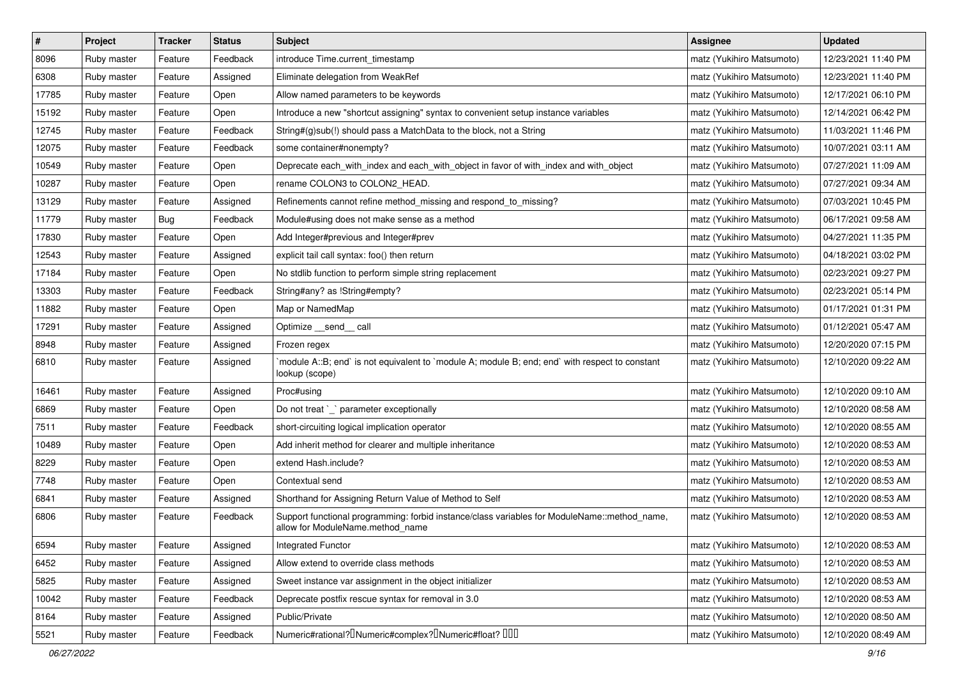| $\vert$ # | Project     | Tracker | <b>Status</b> | Subject                                                                                                                          | <b>Assignee</b>           | <b>Updated</b>      |
|-----------|-------------|---------|---------------|----------------------------------------------------------------------------------------------------------------------------------|---------------------------|---------------------|
| 8096      | Ruby master | Feature | Feedback      | introduce Time.current timestamp                                                                                                 | matz (Yukihiro Matsumoto) | 12/23/2021 11:40 PM |
| 6308      | Ruby master | Feature | Assigned      | Eliminate delegation from WeakRef                                                                                                | matz (Yukihiro Matsumoto) | 12/23/2021 11:40 PM |
| 17785     | Ruby master | Feature | Open          | Allow named parameters to be keywords                                                                                            | matz (Yukihiro Matsumoto) | 12/17/2021 06:10 PM |
| 15192     | Ruby master | Feature | Open          | Introduce a new "shortcut assigning" syntax to convenient setup instance variables                                               | matz (Yukihiro Matsumoto) | 12/14/2021 06:42 PM |
| 12745     | Ruby master | Feature | Feedback      | String#(g)sub(!) should pass a MatchData to the block, not a String                                                              | matz (Yukihiro Matsumoto) | 11/03/2021 11:46 PM |
| 12075     | Ruby master | Feature | Feedback      | some container#nonempty?                                                                                                         | matz (Yukihiro Matsumoto) | 10/07/2021 03:11 AM |
| 10549     | Ruby master | Feature | Open          | Deprecate each_with_index and each_with_object in favor of with_index and with_object                                            | matz (Yukihiro Matsumoto) | 07/27/2021 11:09 AM |
| 10287     | Ruby master | Feature | Open          | rename COLON3 to COLON2_HEAD.                                                                                                    | matz (Yukihiro Matsumoto) | 07/27/2021 09:34 AM |
| 13129     | Ruby master | Feature | Assigned      | Refinements cannot refine method_missing and respond_to_missing?                                                                 | matz (Yukihiro Matsumoto) | 07/03/2021 10:45 PM |
| 11779     | Ruby master | Bug     | Feedback      | Module#using does not make sense as a method                                                                                     | matz (Yukihiro Matsumoto) | 06/17/2021 09:58 AM |
| 17830     | Ruby master | Feature | Open          | Add Integer#previous and Integer#prev                                                                                            | matz (Yukihiro Matsumoto) | 04/27/2021 11:35 PM |
| 12543     | Ruby master | Feature | Assigned      | explicit tail call syntax: foo() then return                                                                                     | matz (Yukihiro Matsumoto) | 04/18/2021 03:02 PM |
| 17184     | Ruby master | Feature | Open          | No stdlib function to perform simple string replacement                                                                          | matz (Yukihiro Matsumoto) | 02/23/2021 09:27 PM |
| 13303     | Ruby master | Feature | Feedback      | String#any? as !String#empty?                                                                                                    | matz (Yukihiro Matsumoto) | 02/23/2021 05:14 PM |
| 11882     | Ruby master | Feature | Open          | Map or NamedMap                                                                                                                  | matz (Yukihiro Matsumoto) | 01/17/2021 01:31 PM |
| 17291     | Ruby master | Feature | Assigned      | Optimize __send__ call                                                                                                           | matz (Yukihiro Matsumoto) | 01/12/2021 05:47 AM |
| 8948      | Ruby master | Feature | Assigned      | Frozen regex                                                                                                                     | matz (Yukihiro Matsumoto) | 12/20/2020 07:15 PM |
| 6810      | Ruby master | Feature | Assigned      | module A:: B; end` is not equivalent to `module A; module B; end; end` with respect to constant<br>lookup (scope)                | matz (Yukihiro Matsumoto) | 12/10/2020 09:22 AM |
| 16461     | Ruby master | Feature | Assigned      | Proc#using                                                                                                                       | matz (Yukihiro Matsumoto) | 12/10/2020 09:10 AM |
| 6869      | Ruby master | Feature | Open          | Do not treat `_` parameter exceptionally                                                                                         | matz (Yukihiro Matsumoto) | 12/10/2020 08:58 AM |
| 7511      | Ruby master | Feature | Feedback      | short-circuiting logical implication operator                                                                                    | matz (Yukihiro Matsumoto) | 12/10/2020 08:55 AM |
| 10489     | Ruby master | Feature | Open          | Add inherit method for clearer and multiple inheritance                                                                          | matz (Yukihiro Matsumoto) | 12/10/2020 08:53 AM |
| 8229      | Ruby master | Feature | Open          | extend Hash.include?                                                                                                             | matz (Yukihiro Matsumoto) | 12/10/2020 08:53 AM |
| 7748      | Ruby master | Feature | Open          | Contextual send                                                                                                                  | matz (Yukihiro Matsumoto) | 12/10/2020 08:53 AM |
| 6841      | Ruby master | Feature | Assigned      | Shorthand for Assigning Return Value of Method to Self                                                                           | matz (Yukihiro Matsumoto) | 12/10/2020 08:53 AM |
| 6806      | Ruby master | Feature | Feedback      | Support functional programming: forbid instance/class variables for ModuleName::method_name,<br>allow for ModuleName.method name | matz (Yukihiro Matsumoto) | 12/10/2020 08:53 AM |
| 6594      | Ruby master | Feature | Assigned      | Integrated Functor                                                                                                               | matz (Yukihiro Matsumoto) | 12/10/2020 08:53 AM |
| 6452      | Ruby master | Feature | Assigned      | Allow extend to override class methods                                                                                           | matz (Yukihiro Matsumoto) | 12/10/2020 08:53 AM |
| 5825      | Ruby master | Feature | Assigned      | Sweet instance var assignment in the object initializer                                                                          | matz (Yukihiro Matsumoto) | 12/10/2020 08:53 AM |
| 10042     | Ruby master | Feature | Feedback      | Deprecate postfix rescue syntax for removal in 3.0                                                                               | matz (Yukihiro Matsumoto) | 12/10/2020 08:53 AM |
| 8164      | Ruby master | Feature | Assigned      | Public/Private                                                                                                                   | matz (Yukihiro Matsumoto) | 12/10/2020 08:50 AM |
| 5521      | Ruby master | Feature | Feedback      | Numeric#rational? <sup>[]</sup> Numeric#complex? <sup>[]</sup> Numeric#float? <sup>[10]</sup>                                    | matz (Yukihiro Matsumoto) | 12/10/2020 08:49 AM |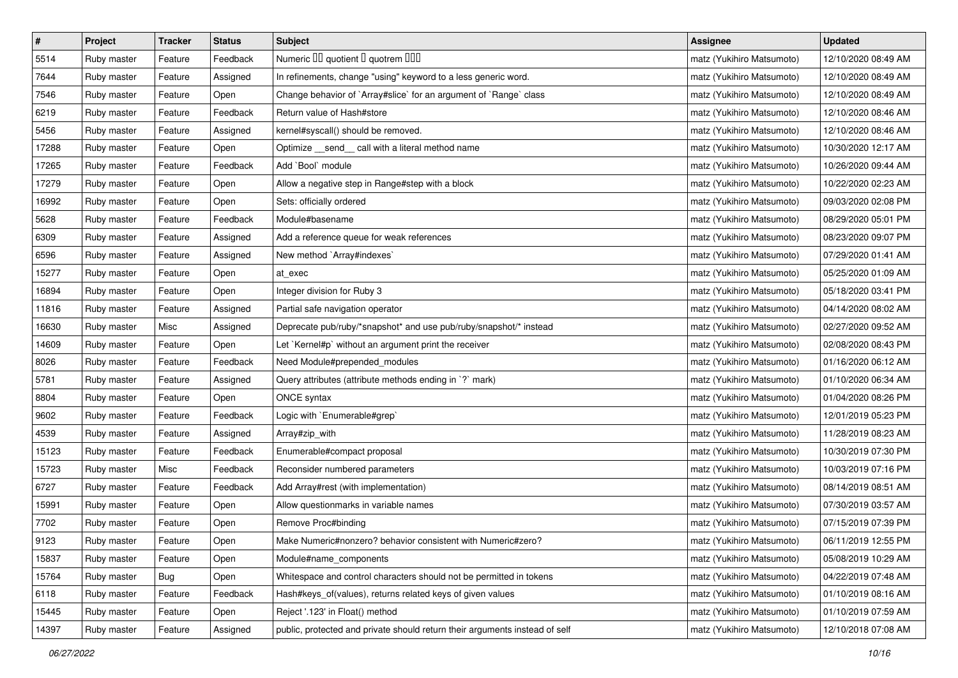| $\pmb{\#}$ | Project     | <b>Tracker</b> | <b>Status</b> | <b>Subject</b>                                                              | <b>Assignee</b>           | <b>Updated</b>      |
|------------|-------------|----------------|---------------|-----------------------------------------------------------------------------|---------------------------|---------------------|
| 5514       | Ruby master | Feature        | Feedback      | Numeric III quotient II quotrem IIII                                        | matz (Yukihiro Matsumoto) | 12/10/2020 08:49 AM |
| 7644       | Ruby master | Feature        | Assigned      | In refinements, change "using" keyword to a less generic word.              | matz (Yukihiro Matsumoto) | 12/10/2020 08:49 AM |
| 7546       | Ruby master | Feature        | Open          | Change behavior of `Array#slice` for an argument of `Range` class           | matz (Yukihiro Matsumoto) | 12/10/2020 08:49 AM |
| 6219       | Ruby master | Feature        | Feedback      | Return value of Hash#store                                                  | matz (Yukihiro Matsumoto) | 12/10/2020 08:46 AM |
| 5456       | Ruby master | Feature        | Assigned      | kernel#syscall() should be removed.                                         | matz (Yukihiro Matsumoto) | 12/10/2020 08:46 AM |
| 17288      | Ruby master | Feature        | Open          | Optimize _send_ call with a literal method name                             | matz (Yukihiro Matsumoto) | 10/30/2020 12:17 AM |
| 17265      | Ruby master | Feature        | Feedback      | Add `Bool` module                                                           | matz (Yukihiro Matsumoto) | 10/26/2020 09:44 AM |
| 17279      | Ruby master | Feature        | Open          | Allow a negative step in Range#step with a block                            | matz (Yukihiro Matsumoto) | 10/22/2020 02:23 AM |
| 16992      | Ruby master | Feature        | Open          | Sets: officially ordered                                                    | matz (Yukihiro Matsumoto) | 09/03/2020 02:08 PM |
| 5628       | Ruby master | Feature        | Feedback      | Module#basename                                                             | matz (Yukihiro Matsumoto) | 08/29/2020 05:01 PM |
| 6309       | Ruby master | Feature        | Assigned      | Add a reference queue for weak references                                   | matz (Yukihiro Matsumoto) | 08/23/2020 09:07 PM |
| 6596       | Ruby master | Feature        | Assigned      | New method `Array#indexes`                                                  | matz (Yukihiro Matsumoto) | 07/29/2020 01:41 AM |
| 15277      | Ruby master | Feature        | Open          | at exec                                                                     | matz (Yukihiro Matsumoto) | 05/25/2020 01:09 AM |
| 16894      | Ruby master | Feature        | Open          | Integer division for Ruby 3                                                 | matz (Yukihiro Matsumoto) | 05/18/2020 03:41 PM |
| 11816      | Ruby master | Feature        | Assigned      | Partial safe navigation operator                                            | matz (Yukihiro Matsumoto) | 04/14/2020 08:02 AM |
| 16630      | Ruby master | Misc           | Assigned      | Deprecate pub/ruby/*snapshot* and use pub/ruby/snapshot/* instead           | matz (Yukihiro Matsumoto) | 02/27/2020 09:52 AM |
| 14609      | Ruby master | Feature        | Open          | Let `Kernel#p` without an argument print the receiver                       | matz (Yukihiro Matsumoto) | 02/08/2020 08:43 PM |
| 8026       | Ruby master | Feature        | Feedback      | Need Module#prepended_modules                                               | matz (Yukihiro Matsumoto) | 01/16/2020 06:12 AM |
| 5781       | Ruby master | Feature        | Assigned      | Query attributes (attribute methods ending in `?` mark)                     | matz (Yukihiro Matsumoto) | 01/10/2020 06:34 AM |
| 8804       | Ruby master | Feature        | Open          | ONCE syntax                                                                 | matz (Yukihiro Matsumoto) | 01/04/2020 08:26 PM |
| 9602       | Ruby master | Feature        | Feedback      | Logic with `Enumerable#grep`                                                | matz (Yukihiro Matsumoto) | 12/01/2019 05:23 PM |
| 4539       | Ruby master | Feature        | Assigned      | Array#zip_with                                                              | matz (Yukihiro Matsumoto) | 11/28/2019 08:23 AM |
| 15123      | Ruby master | Feature        | Feedback      | Enumerable#compact proposal                                                 | matz (Yukihiro Matsumoto) | 10/30/2019 07:30 PM |
| 15723      | Ruby master | Misc           | Feedback      | Reconsider numbered parameters                                              | matz (Yukihiro Matsumoto) | 10/03/2019 07:16 PM |
| 6727       | Ruby master | Feature        | Feedback      | Add Array#rest (with implementation)                                        | matz (Yukihiro Matsumoto) | 08/14/2019 08:51 AM |
| 15991      | Ruby master | Feature        | Open          | Allow questionmarks in variable names                                       | matz (Yukihiro Matsumoto) | 07/30/2019 03:57 AM |
| 7702       | Ruby master | Feature        | Open          | Remove Proc#binding                                                         | matz (Yukihiro Matsumoto) | 07/15/2019 07:39 PM |
| 9123       | Ruby master | Feature        | Open          | Make Numeric#nonzero? behavior consistent with Numeric#zero?                | matz (Yukihiro Matsumoto) | 06/11/2019 12:55 PM |
| 15837      | Ruby master | Feature        | Open          | Module#name_components                                                      | matz (Yukihiro Matsumoto) | 05/08/2019 10:29 AM |
| 15764      | Ruby master | Bug            | Open          | Whitespace and control characters should not be permitted in tokens         | matz (Yukihiro Matsumoto) | 04/22/2019 07:48 AM |
| 6118       | Ruby master | Feature        | Feedback      | Hash#keys_of(values), returns related keys of given values                  | matz (Yukihiro Matsumoto) | 01/10/2019 08:16 AM |
| 15445      | Ruby master | Feature        | Open          | Reject '.123' in Float() method                                             | matz (Yukihiro Matsumoto) | 01/10/2019 07:59 AM |
| 14397      | Ruby master | Feature        | Assigned      | public, protected and private should return their arguments instead of self | matz (Yukihiro Matsumoto) | 12/10/2018 07:08 AM |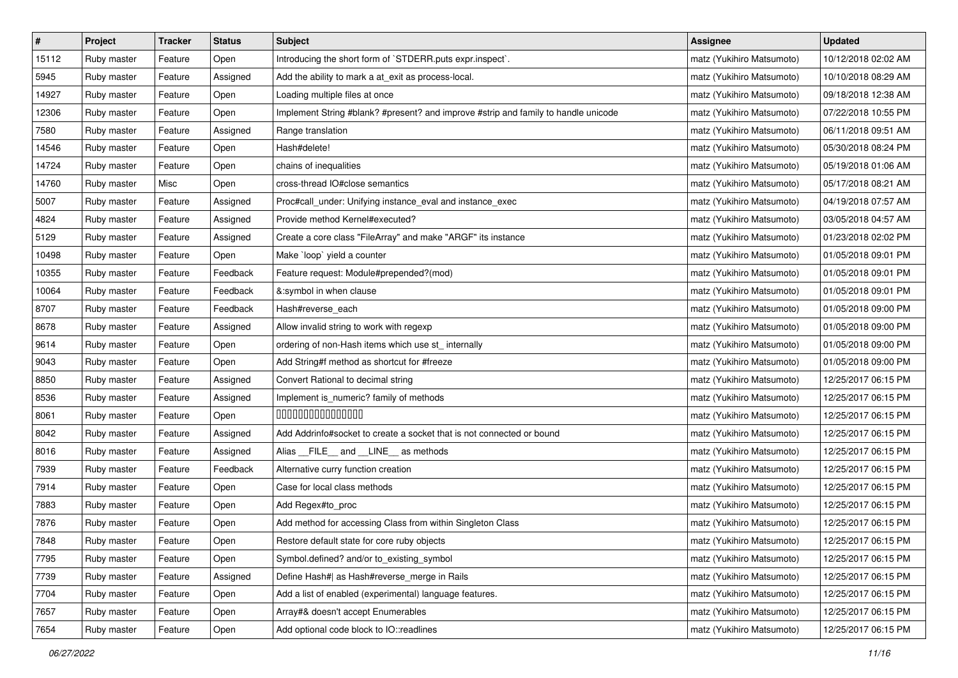| $\vert$ # | Project     | <b>Tracker</b> | <b>Status</b> | <b>Subject</b>                                                                     | <b>Assignee</b>           | <b>Updated</b>      |
|-----------|-------------|----------------|---------------|------------------------------------------------------------------------------------|---------------------------|---------------------|
| 15112     | Ruby master | Feature        | Open          | Introducing the short form of `STDERR.puts expr.inspect`.                          | matz (Yukihiro Matsumoto) | 10/12/2018 02:02 AM |
| 5945      | Ruby master | Feature        | Assigned      | Add the ability to mark a at_exit as process-local.                                | matz (Yukihiro Matsumoto) | 10/10/2018 08:29 AM |
| 14927     | Ruby master | Feature        | Open          | Loading multiple files at once                                                     | matz (Yukihiro Matsumoto) | 09/18/2018 12:38 AM |
| 12306     | Ruby master | Feature        | Open          | Implement String #blank? #present? and improve #strip and family to handle unicode | matz (Yukihiro Matsumoto) | 07/22/2018 10:55 PM |
| 7580      | Ruby master | Feature        | Assigned      | Range translation                                                                  | matz (Yukihiro Matsumoto) | 06/11/2018 09:51 AM |
| 14546     | Ruby master | Feature        | Open          | Hash#delete!                                                                       | matz (Yukihiro Matsumoto) | 05/30/2018 08:24 PM |
| 14724     | Ruby master | Feature        | Open          | chains of inequalities                                                             | matz (Yukihiro Matsumoto) | 05/19/2018 01:06 AM |
| 14760     | Ruby master | Misc           | Open          | cross-thread IO#close semantics                                                    | matz (Yukihiro Matsumoto) | 05/17/2018 08:21 AM |
| 5007      | Ruby master | Feature        | Assigned      | Proc#call_under: Unifying instance_eval and instance_exec                          | matz (Yukihiro Matsumoto) | 04/19/2018 07:57 AM |
| 4824      | Ruby master | Feature        | Assigned      | Provide method Kernel#executed?                                                    | matz (Yukihiro Matsumoto) | 03/05/2018 04:57 AM |
| 5129      | Ruby master | Feature        | Assigned      | Create a core class "FileArray" and make "ARGF" its instance                       | matz (Yukihiro Matsumoto) | 01/23/2018 02:02 PM |
| 10498     | Ruby master | Feature        | Open          | Make 'loop' yield a counter                                                        | matz (Yukihiro Matsumoto) | 01/05/2018 09:01 PM |
| 10355     | Ruby master | Feature        | Feedback      | Feature request: Module#prepended?(mod)                                            | matz (Yukihiro Matsumoto) | 01/05/2018 09:01 PM |
| 10064     | Ruby master | Feature        | Feedback      | &:symbol in when clause                                                            | matz (Yukihiro Matsumoto) | 01/05/2018 09:01 PM |
| 8707      | Ruby master | Feature        | Feedback      | Hash#reverse_each                                                                  | matz (Yukihiro Matsumoto) | 01/05/2018 09:00 PM |
| 8678      | Ruby master | Feature        | Assigned      | Allow invalid string to work with regexp                                           | matz (Yukihiro Matsumoto) | 01/05/2018 09:00 PM |
| 9614      | Ruby master | Feature        | Open          | ordering of non-Hash items which use st_ internally                                | matz (Yukihiro Matsumoto) | 01/05/2018 09:00 PM |
| 9043      | Ruby master | Feature        | Open          | Add String#f method as shortcut for #freeze                                        | matz (Yukihiro Matsumoto) | 01/05/2018 09:00 PM |
| 8850      | Ruby master | Feature        | Assigned      | Convert Rational to decimal string                                                 | matz (Yukihiro Matsumoto) | 12/25/2017 06:15 PM |
| 8536      | Ruby master | Feature        | Assigned      | Implement is_numeric? family of methods                                            | matz (Yukihiro Matsumoto) | 12/25/2017 06:15 PM |
| 8061      | Ruby master | Feature        | Open          | 000000000000000                                                                    | matz (Yukihiro Matsumoto) | 12/25/2017 06:15 PM |
| 8042      | Ruby master | Feature        | Assigned      | Add Addrinfo#socket to create a socket that is not connected or bound              | matz (Yukihiro Matsumoto) | 12/25/2017 06:15 PM |
| 8016      | Ruby master | Feature        | Assigned      | Alias FILE and LINE as methods                                                     | matz (Yukihiro Matsumoto) | 12/25/2017 06:15 PM |
| 7939      | Ruby master | Feature        | Feedback      | Alternative curry function creation                                                | matz (Yukihiro Matsumoto) | 12/25/2017 06:15 PM |
| 7914      | Ruby master | Feature        | Open          | Case for local class methods                                                       | matz (Yukihiro Matsumoto) | 12/25/2017 06:15 PM |
| 7883      | Ruby master | Feature        | Open          | Add Regex#to_proc                                                                  | matz (Yukihiro Matsumoto) | 12/25/2017 06:15 PM |
| 7876      | Ruby master | Feature        | Open          | Add method for accessing Class from within Singleton Class                         | matz (Yukihiro Matsumoto) | 12/25/2017 06:15 PM |
| 7848      | Ruby master | Feature        | Open          | Restore default state for core ruby objects                                        | matz (Yukihiro Matsumoto) | 12/25/2017 06:15 PM |
| 7795      | Ruby master | Feature        | Open          | Symbol.defined? and/or to_existing_symbol                                          | matz (Yukihiro Matsumoto) | 12/25/2017 06:15 PM |
| 7739      | Ruby master | Feature        | Assigned      | Define Hash#  as Hash#reverse_merge in Rails                                       | matz (Yukihiro Matsumoto) | 12/25/2017 06:15 PM |
| 7704      | Ruby master | Feature        | Open          | Add a list of enabled (experimental) language features.                            | matz (Yukihiro Matsumoto) | 12/25/2017 06:15 PM |
| 7657      | Ruby master | Feature        | Open          | Array#& doesn't accept Enumerables                                                 | matz (Yukihiro Matsumoto) | 12/25/2017 06:15 PM |
| 7654      | Ruby master | Feature        | Open          | Add optional code block to IO::readlines                                           | matz (Yukihiro Matsumoto) | 12/25/2017 06:15 PM |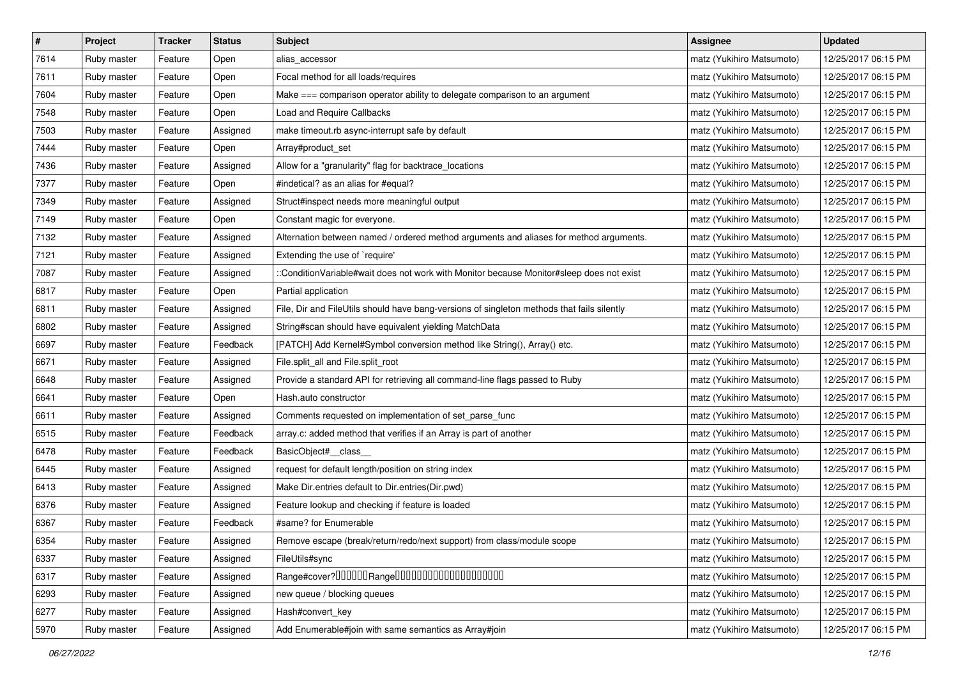| $\pmb{\#}$ | Project     | <b>Tracker</b> | <b>Status</b> | Subject                                                                                    | <b>Assignee</b>           | <b>Updated</b>      |
|------------|-------------|----------------|---------------|--------------------------------------------------------------------------------------------|---------------------------|---------------------|
| 7614       | Ruby master | Feature        | Open          | alias_accessor                                                                             | matz (Yukihiro Matsumoto) | 12/25/2017 06:15 PM |
| 7611       | Ruby master | Feature        | Open          | Focal method for all loads/requires                                                        | matz (Yukihiro Matsumoto) | 12/25/2017 06:15 PM |
| 7604       | Ruby master | Feature        | Open          | Make === comparison operator ability to delegate comparison to an argument                 | matz (Yukihiro Matsumoto) | 12/25/2017 06:15 PM |
| 7548       | Ruby master | Feature        | Open          | Load and Require Callbacks                                                                 | matz (Yukihiro Matsumoto) | 12/25/2017 06:15 PM |
| 7503       | Ruby master | Feature        | Assigned      | make timeout.rb async-interrupt safe by default                                            | matz (Yukihiro Matsumoto) | 12/25/2017 06:15 PM |
| 7444       | Ruby master | Feature        | Open          | Array#product_set                                                                          | matz (Yukihiro Matsumoto) | 12/25/2017 06:15 PM |
| 7436       | Ruby master | Feature        | Assigned      | Allow for a "granularity" flag for backtrace_locations                                     | matz (Yukihiro Matsumoto) | 12/25/2017 06:15 PM |
| 7377       | Ruby master | Feature        | Open          | #indetical? as an alias for #equal?                                                        | matz (Yukihiro Matsumoto) | 12/25/2017 06:15 PM |
| 7349       | Ruby master | Feature        | Assigned      | Struct#inspect needs more meaningful output                                                | matz (Yukihiro Matsumoto) | 12/25/2017 06:15 PM |
| 7149       | Ruby master | Feature        | Open          | Constant magic for everyone.                                                               | matz (Yukihiro Matsumoto) | 12/25/2017 06:15 PM |
| 7132       | Ruby master | Feature        | Assigned      | Alternation between named / ordered method arguments and aliases for method arguments.     | matz (Yukihiro Matsumoto) | 12/25/2017 06:15 PM |
| 7121       | Ruby master | Feature        | Assigned      | Extending the use of `require'                                                             | matz (Yukihiro Matsumoto) | 12/25/2017 06:15 PM |
| 7087       | Ruby master | Feature        | Assigned      | ::ConditionVariable#wait does not work with Monitor because Monitor#sleep does not exist   | matz (Yukihiro Matsumoto) | 12/25/2017 06:15 PM |
| 6817       | Ruby master | Feature        | Open          | Partial application                                                                        | matz (Yukihiro Matsumoto) | 12/25/2017 06:15 PM |
| 6811       | Ruby master | Feature        | Assigned      | File, Dir and FileUtils should have bang-versions of singleton methods that fails silently | matz (Yukihiro Matsumoto) | 12/25/2017 06:15 PM |
| 6802       | Ruby master | Feature        | Assigned      | String#scan should have equivalent yielding MatchData                                      | matz (Yukihiro Matsumoto) | 12/25/2017 06:15 PM |
| 6697       | Ruby master | Feature        | Feedback      | [PATCH] Add Kernel#Symbol conversion method like String(), Array() etc.                    | matz (Yukihiro Matsumoto) | 12/25/2017 06:15 PM |
| 6671       | Ruby master | Feature        | Assigned      | File.split_all and File.split_root                                                         | matz (Yukihiro Matsumoto) | 12/25/2017 06:15 PM |
| 6648       | Ruby master | Feature        | Assigned      | Provide a standard API for retrieving all command-line flags passed to Ruby                | matz (Yukihiro Matsumoto) | 12/25/2017 06:15 PM |
| 6641       | Ruby master | Feature        | Open          | Hash.auto constructor                                                                      | matz (Yukihiro Matsumoto) | 12/25/2017 06:15 PM |
| 6611       | Ruby master | Feature        | Assigned      | Comments requested on implementation of set_parse_func                                     | matz (Yukihiro Matsumoto) | 12/25/2017 06:15 PM |
| 6515       | Ruby master | Feature        | Feedback      | array.c: added method that verifies if an Array is part of another                         | matz (Yukihiro Matsumoto) | 12/25/2017 06:15 PM |
| 6478       | Ruby master | Feature        | Feedback      | BasicObject#_class_                                                                        | matz (Yukihiro Matsumoto) | 12/25/2017 06:15 PM |
| 6445       | Ruby master | Feature        | Assigned      | request for default length/position on string index                                        | matz (Yukihiro Matsumoto) | 12/25/2017 06:15 PM |
| 6413       | Ruby master | Feature        | Assigned      | Make Dir.entries default to Dir.entries(Dir.pwd)                                           | matz (Yukihiro Matsumoto) | 12/25/2017 06:15 PM |
| 6376       | Ruby master | Feature        | Assigned      | Feature lookup and checking if feature is loaded                                           | matz (Yukihiro Matsumoto) | 12/25/2017 06:15 PM |
| 6367       | Ruby master | Feature        | Feedback      | #same? for Enumerable                                                                      | matz (Yukihiro Matsumoto) | 12/25/2017 06:15 PM |
| 6354       | Ruby master | Feature        | Assigned      | Remove escape (break/return/redo/next support) from class/module scope                     | matz (Yukihiro Matsumoto) | 12/25/2017 06:15 PM |
| 6337       | Ruby master | Feature        | Assigned      | FileUtils#sync                                                                             | matz (Yukihiro Matsumoto) | 12/25/2017 06:15 PM |
| 6317       | Ruby master | Feature        | Assigned      | Range#cover?000000Range000000000000000000000                                               | matz (Yukihiro Matsumoto) | 12/25/2017 06:15 PM |
| 6293       | Ruby master | Feature        | Assigned      | new queue / blocking queues                                                                | matz (Yukihiro Matsumoto) | 12/25/2017 06:15 PM |
| 6277       | Ruby master | Feature        | Assigned      | Hash#convert key                                                                           | matz (Yukihiro Matsumoto) | 12/25/2017 06:15 PM |
| 5970       | Ruby master | Feature        | Assigned      | Add Enumerable#join with same semantics as Array#join                                      | matz (Yukihiro Matsumoto) | 12/25/2017 06:15 PM |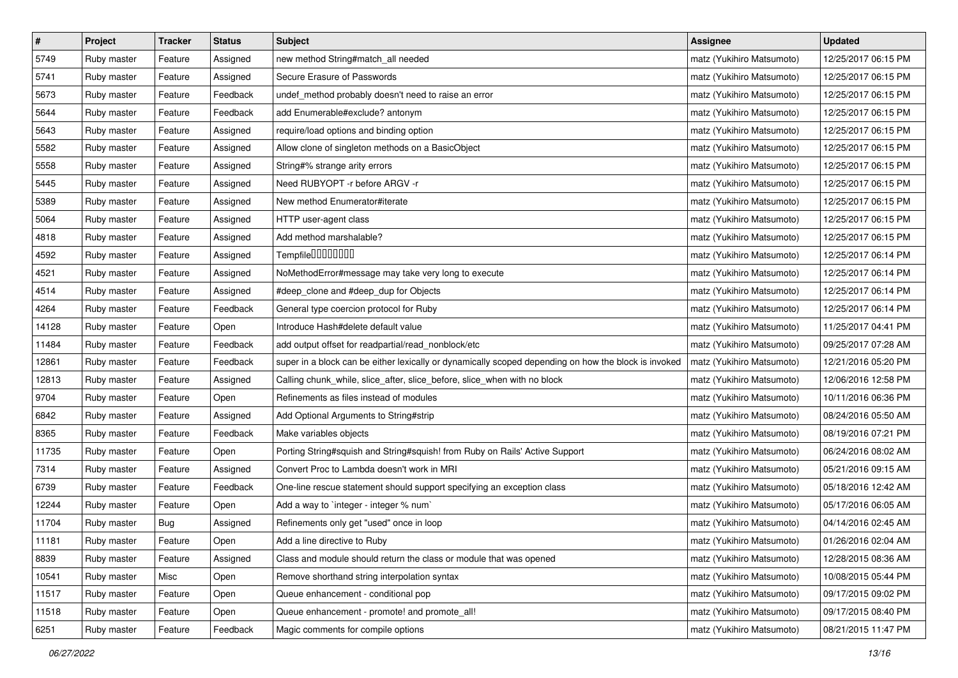| $\vert$ # | Project     | <b>Tracker</b> | <b>Status</b> | <b>Subject</b>                                                                                       | <b>Assignee</b>           | <b>Updated</b>      |
|-----------|-------------|----------------|---------------|------------------------------------------------------------------------------------------------------|---------------------------|---------------------|
| 5749      | Ruby master | Feature        | Assigned      | new method String#match_all needed                                                                   | matz (Yukihiro Matsumoto) | 12/25/2017 06:15 PM |
| 5741      | Ruby master | Feature        | Assigned      | Secure Erasure of Passwords                                                                          | matz (Yukihiro Matsumoto) | 12/25/2017 06:15 PM |
| 5673      | Ruby master | Feature        | Feedback      | undef_method probably doesn't need to raise an error                                                 | matz (Yukihiro Matsumoto) | 12/25/2017 06:15 PM |
| 5644      | Ruby master | Feature        | Feedback      | add Enumerable#exclude? antonym                                                                      | matz (Yukihiro Matsumoto) | 12/25/2017 06:15 PM |
| 5643      | Ruby master | Feature        | Assigned      | require/load options and binding option                                                              | matz (Yukihiro Matsumoto) | 12/25/2017 06:15 PM |
| 5582      | Ruby master | Feature        | Assigned      | Allow clone of singleton methods on a BasicObject                                                    | matz (Yukihiro Matsumoto) | 12/25/2017 06:15 PM |
| 5558      | Ruby master | Feature        | Assigned      | String#% strange arity errors                                                                        | matz (Yukihiro Matsumoto) | 12/25/2017 06:15 PM |
| 5445      | Ruby master | Feature        | Assigned      | Need RUBYOPT -r before ARGV -r                                                                       | matz (Yukihiro Matsumoto) | 12/25/2017 06:15 PM |
| 5389      | Ruby master | Feature        | Assigned      | New method Enumerator#iterate                                                                        | matz (Yukihiro Matsumoto) | 12/25/2017 06:15 PM |
| 5064      | Ruby master | Feature        | Assigned      | HTTP user-agent class                                                                                | matz (Yukihiro Matsumoto) | 12/25/2017 06:15 PM |
| 4818      | Ruby master | Feature        | Assigned      | Add method marshalable?                                                                              | matz (Yukihiro Matsumoto) | 12/25/2017 06:15 PM |
| 4592      | Ruby master | Feature        | Assigned      | Tempfile <sup>[1010101011]</sup>                                                                     | matz (Yukihiro Matsumoto) | 12/25/2017 06:14 PM |
| 4521      | Ruby master | Feature        | Assigned      | NoMethodError#message may take very long to execute                                                  | matz (Yukihiro Matsumoto) | 12/25/2017 06:14 PM |
| 4514      | Ruby master | Feature        | Assigned      | #deep_clone and #deep_dup for Objects                                                                | matz (Yukihiro Matsumoto) | 12/25/2017 06:14 PM |
| 4264      | Ruby master | Feature        | Feedback      | General type coercion protocol for Ruby                                                              | matz (Yukihiro Matsumoto) | 12/25/2017 06:14 PM |
| 14128     | Ruby master | Feature        | Open          | Introduce Hash#delete default value                                                                  | matz (Yukihiro Matsumoto) | 11/25/2017 04:41 PM |
| 11484     | Ruby master | Feature        | Feedback      | add output offset for readpartial/read_nonblock/etc                                                  | matz (Yukihiro Matsumoto) | 09/25/2017 07:28 AM |
| 12861     | Ruby master | Feature        | Feedback      | super in a block can be either lexically or dynamically scoped depending on how the block is invoked | matz (Yukihiro Matsumoto) | 12/21/2016 05:20 PM |
| 12813     | Ruby master | Feature        | Assigned      | Calling chunk_while, slice_after, slice_before, slice_when with no block                             | matz (Yukihiro Matsumoto) | 12/06/2016 12:58 PM |
| 9704      | Ruby master | Feature        | Open          | Refinements as files instead of modules                                                              | matz (Yukihiro Matsumoto) | 10/11/2016 06:36 PM |
| 6842      | Ruby master | Feature        | Assigned      | Add Optional Arguments to String#strip                                                               | matz (Yukihiro Matsumoto) | 08/24/2016 05:50 AM |
| 8365      | Ruby master | Feature        | Feedback      | Make variables objects                                                                               | matz (Yukihiro Matsumoto) | 08/19/2016 07:21 PM |
| 11735     | Ruby master | Feature        | Open          | Porting String#squish and String#squish! from Ruby on Rails' Active Support                          | matz (Yukihiro Matsumoto) | 06/24/2016 08:02 AM |
| 7314      | Ruby master | Feature        | Assigned      | Convert Proc to Lambda doesn't work in MRI                                                           | matz (Yukihiro Matsumoto) | 05/21/2016 09:15 AM |
| 6739      | Ruby master | Feature        | Feedback      | One-line rescue statement should support specifying an exception class                               | matz (Yukihiro Matsumoto) | 05/18/2016 12:42 AM |
| 12244     | Ruby master | Feature        | Open          | Add a way to `integer - integer % num`                                                               | matz (Yukihiro Matsumoto) | 05/17/2016 06:05 AM |
| 11704     | Ruby master | <b>Bug</b>     | Assigned      | Refinements only get "used" once in loop                                                             | matz (Yukihiro Matsumoto) | 04/14/2016 02:45 AM |
| 11181     | Ruby master | Feature        | Open          | Add a line directive to Ruby                                                                         | matz (Yukihiro Matsumoto) | 01/26/2016 02:04 AM |
| 8839      | Ruby master | Feature        | Assigned      | Class and module should return the class or module that was opened                                   | matz (Yukihiro Matsumoto) | 12/28/2015 08:36 AM |
| 10541     | Ruby master | Misc           | Open          | Remove shorthand string interpolation syntax                                                         | matz (Yukihiro Matsumoto) | 10/08/2015 05:44 PM |
| 11517     | Ruby master | Feature        | Open          | Queue enhancement - conditional pop                                                                  | matz (Yukihiro Matsumoto) | 09/17/2015 09:02 PM |
| 11518     | Ruby master | Feature        | Open          | Queue enhancement - promote! and promote_all!                                                        | matz (Yukihiro Matsumoto) | 09/17/2015 08:40 PM |
| 6251      | Ruby master | Feature        | Feedback      | Magic comments for compile options                                                                   | matz (Yukihiro Matsumoto) | 08/21/2015 11:47 PM |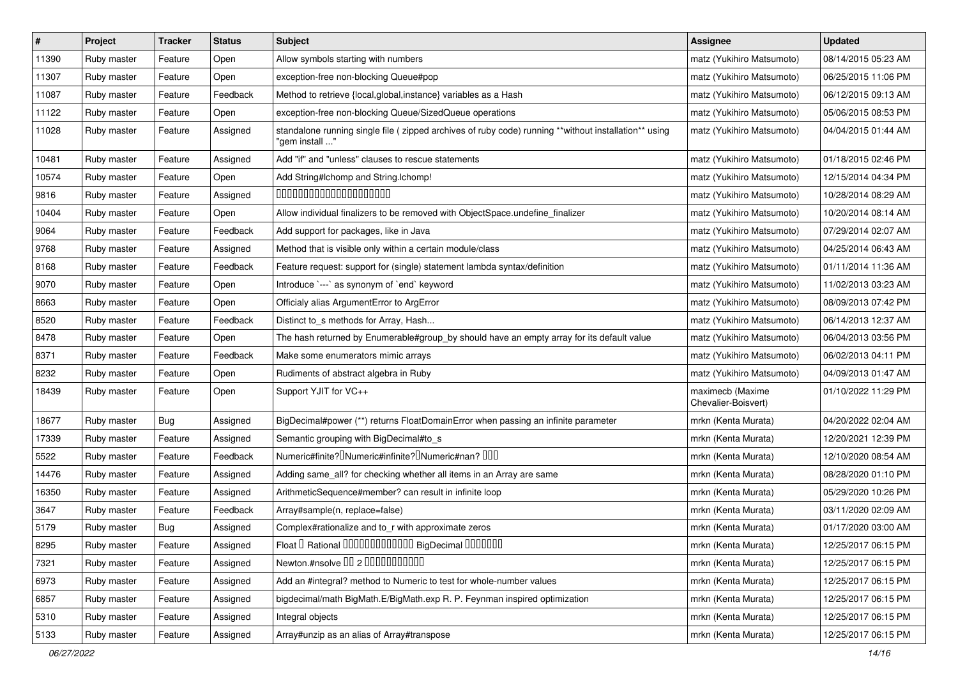| $\pmb{\#}$ | Project     | <b>Tracker</b> | <b>Status</b> | Subject                                                                                                                 | <b>Assignee</b>                         | <b>Updated</b>      |
|------------|-------------|----------------|---------------|-------------------------------------------------------------------------------------------------------------------------|-----------------------------------------|---------------------|
| 11390      | Ruby master | Feature        | Open          | Allow symbols starting with numbers                                                                                     | matz (Yukihiro Matsumoto)               | 08/14/2015 05:23 AM |
| 11307      | Ruby master | Feature        | Open          | exception-free non-blocking Queue#pop                                                                                   | matz (Yukihiro Matsumoto)               | 06/25/2015 11:06 PM |
| 11087      | Ruby master | Feature        | Feedback      | Method to retrieve {local, global, instance} variables as a Hash                                                        | matz (Yukihiro Matsumoto)               | 06/12/2015 09:13 AM |
| 11122      | Ruby master | Feature        | Open          | exception-free non-blocking Queue/SizedQueue operations                                                                 | matz (Yukihiro Matsumoto)               | 05/06/2015 08:53 PM |
| 11028      | Ruby master | Feature        | Assigned      | standalone running single file ( zipped archives of ruby code) running **without installation** using<br>"gem install " | matz (Yukihiro Matsumoto)               | 04/04/2015 01:44 AM |
| 10481      | Ruby master | Feature        | Assigned      | Add "if" and "unless" clauses to rescue statements                                                                      | matz (Yukihiro Matsumoto)               | 01/18/2015 02:46 PM |
| 10574      | Ruby master | Feature        | Open          | Add String#Ichomp and String.Ichomp!                                                                                    | matz (Yukihiro Matsumoto)               | 12/15/2014 04:34 PM |
| 9816       | Ruby master | Feature        | Assigned      | 00000000000000000000                                                                                                    | matz (Yukihiro Matsumoto)               | 10/28/2014 08:29 AM |
| 10404      | Ruby master | Feature        | Open          | Allow individual finalizers to be removed with ObjectSpace.undefine_finalizer                                           | matz (Yukihiro Matsumoto)               | 10/20/2014 08:14 AM |
| 9064       | Ruby master | Feature        | Feedback      | Add support for packages, like in Java                                                                                  | matz (Yukihiro Matsumoto)               | 07/29/2014 02:07 AM |
| 9768       | Ruby master | Feature        | Assigned      | Method that is visible only within a certain module/class                                                               | matz (Yukihiro Matsumoto)               | 04/25/2014 06:43 AM |
| 8168       | Ruby master | Feature        | Feedback      | Feature request: support for (single) statement lambda syntax/definition                                                | matz (Yukihiro Matsumoto)               | 01/11/2014 11:36 AM |
| 9070       | Ruby master | Feature        | Open          | Introduce `---` as synonym of `end` keyword                                                                             | matz (Yukihiro Matsumoto)               | 11/02/2013 03:23 AM |
| 8663       | Ruby master | Feature        | Open          | Officialy alias ArgumentError to ArgError                                                                               | matz (Yukihiro Matsumoto)               | 08/09/2013 07:42 PM |
| 8520       | Ruby master | Feature        | Feedback      | Distinct to_s methods for Array, Hash                                                                                   | matz (Yukihiro Matsumoto)               | 06/14/2013 12:37 AM |
| 8478       | Ruby master | Feature        | Open          | The hash returned by Enumerable#group_by should have an empty array for its default value                               | matz (Yukihiro Matsumoto)               | 06/04/2013 03:56 PM |
| 8371       | Ruby master | Feature        | Feedback      | Make some enumerators mimic arrays                                                                                      | matz (Yukihiro Matsumoto)               | 06/02/2013 04:11 PM |
| 8232       | Ruby master | Feature        | Open          | Rudiments of abstract algebra in Ruby                                                                                   | matz (Yukihiro Matsumoto)               | 04/09/2013 01:47 AM |
| 18439      | Ruby master | Feature        | Open          | Support YJIT for VC++                                                                                                   | maximecb (Maxime<br>Chevalier-Boisvert) | 01/10/2022 11:29 PM |
| 18677      | Ruby master | Bug            | Assigned      | BigDecimal#power (**) returns FloatDomainError when passing an infinite parameter                                       | mrkn (Kenta Murata)                     | 04/20/2022 02:04 AM |
| 17339      | Ruby master | Feature        | Assigned      | Semantic grouping with BigDecimal#to_s                                                                                  | mrkn (Kenta Murata)                     | 12/20/2021 12:39 PM |
| 5522       | Ruby master | Feature        | Feedback      | Numeric#finite? <sup>[]</sup> Numeric#infinite? <sup>[]</sup> Numeric#nan? <sup>[10]</sup>                              | mrkn (Kenta Murata)                     | 12/10/2020 08:54 AM |
| 14476      | Ruby master | Feature        | Assigned      | Adding same_all? for checking whether all items in an Array are same                                                    | mrkn (Kenta Murata)                     | 08/28/2020 01:10 PM |
| 16350      | Ruby master | Feature        | Assigned      | ArithmeticSequence#member? can result in infinite loop                                                                  | mrkn (Kenta Murata)                     | 05/29/2020 10:26 PM |
| 3647       | Ruby master | Feature        | Feedback      | Array#sample(n, replace=false)                                                                                          | mrkn (Kenta Murata)                     | 03/11/2020 02:09 AM |
| 5179       | Ruby master | Bug            | Assigned      | Complex#rationalize and to_r with approximate zeros                                                                     | mrkn (Kenta Murata)                     | 01/17/2020 03:00 AM |
| 8295       | Ruby master | Feature        | Assigned      | Float I Rational 0000000000000 BigDecimal 0000000                                                                       | mrkn (Kenta Murata)                     | 12/25/2017 06:15 PM |
| 7321       | Ruby master | Feature        | Assigned      | Newton.#nsolve 00 2 0000000000                                                                                          | mrkn (Kenta Murata)                     | 12/25/2017 06:15 PM |
| 6973       | Ruby master | Feature        | Assigned      | Add an #integral? method to Numeric to test for whole-number values                                                     | mrkn (Kenta Murata)                     | 12/25/2017 06:15 PM |
| 6857       | Ruby master | Feature        | Assigned      | bigdecimal/math BigMath.E/BigMath.exp R. P. Feynman inspired optimization                                               | mrkn (Kenta Murata)                     | 12/25/2017 06:15 PM |
| 5310       | Ruby master | Feature        | Assigned      | Integral objects                                                                                                        | mrkn (Kenta Murata)                     | 12/25/2017 06:15 PM |
| 5133       | Ruby master | Feature        | Assigned      | Array#unzip as an alias of Array#transpose                                                                              | mrkn (Kenta Murata)                     | 12/25/2017 06:15 PM |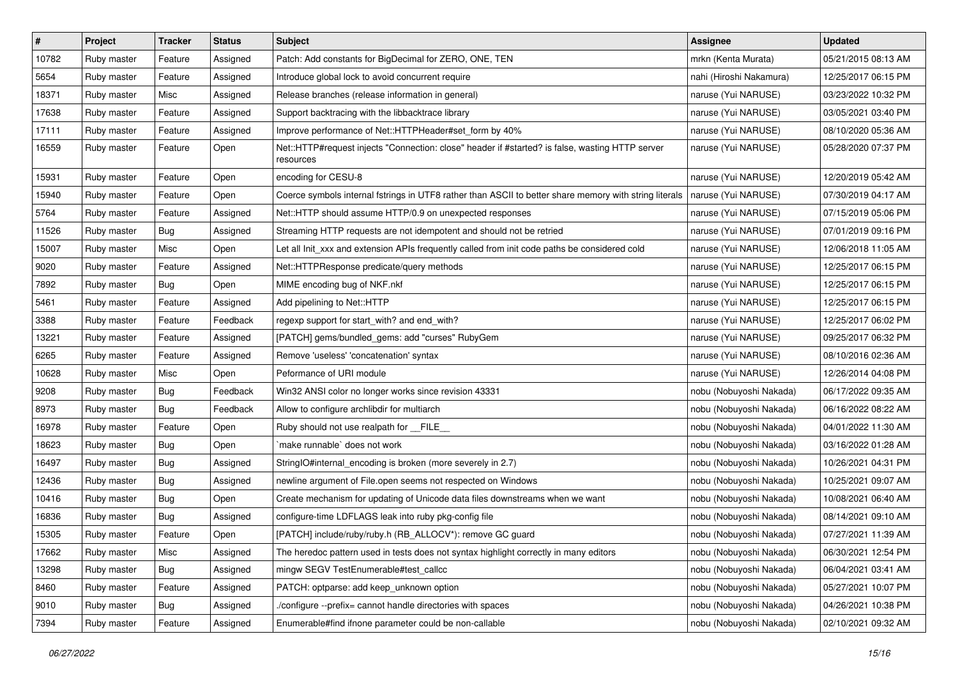| $\vert$ # | Project     | <b>Tracker</b> | <b>Status</b> | <b>Subject</b>                                                                                               | <b>Assignee</b>         | <b>Updated</b>      |
|-----------|-------------|----------------|---------------|--------------------------------------------------------------------------------------------------------------|-------------------------|---------------------|
| 10782     | Ruby master | Feature        | Assigned      | Patch: Add constants for BigDecimal for ZERO, ONE, TEN                                                       | mrkn (Kenta Murata)     | 05/21/2015 08:13 AM |
| 5654      | Ruby master | Feature        | Assigned      | Introduce global lock to avoid concurrent require                                                            | nahi (Hiroshi Nakamura) | 12/25/2017 06:15 PM |
| 18371     | Ruby master | Misc           | Assigned      | Release branches (release information in general)                                                            | naruse (Yui NARUSE)     | 03/23/2022 10:32 PM |
| 17638     | Ruby master | Feature        | Assigned      | Support backtracing with the libbacktrace library                                                            | naruse (Yui NARUSE)     | 03/05/2021 03:40 PM |
| 17111     | Ruby master | Feature        | Assigned      | Improve performance of Net::HTTPHeader#set_form by 40%                                                       | naruse (Yui NARUSE)     | 08/10/2020 05:36 AM |
| 16559     | Ruby master | Feature        | Open          | Net::HTTP#request injects "Connection: close" header if #started? is false, wasting HTTP server<br>resources | naruse (Yui NARUSE)     | 05/28/2020 07:37 PM |
| 15931     | Ruby master | Feature        | Open          | encoding for CESU-8                                                                                          | naruse (Yui NARUSE)     | 12/20/2019 05:42 AM |
| 15940     | Ruby master | Feature        | Open          | Coerce symbols internal fstrings in UTF8 rather than ASCII to better share memory with string literals       | naruse (Yui NARUSE)     | 07/30/2019 04:17 AM |
| 5764      | Ruby master | Feature        | Assigned      | Net::HTTP should assume HTTP/0.9 on unexpected responses                                                     | naruse (Yui NARUSE)     | 07/15/2019 05:06 PM |
| 11526     | Ruby master | Bug            | Assigned      | Streaming HTTP requests are not idempotent and should not be retried                                         | naruse (Yui NARUSE)     | 07/01/2019 09:16 PM |
| 15007     | Ruby master | Misc           | Open          | Let all Init_xxx and extension APIs frequently called from init code paths be considered cold                | naruse (Yui NARUSE)     | 12/06/2018 11:05 AM |
| 9020      | Ruby master | Feature        | Assigned      | Net::HTTPResponse predicate/query methods                                                                    | naruse (Yui NARUSE)     | 12/25/2017 06:15 PM |
| 7892      | Ruby master | Bug            | Open          | MIME encoding bug of NKF.nkf                                                                                 | naruse (Yui NARUSE)     | 12/25/2017 06:15 PM |
| 5461      | Ruby master | Feature        | Assigned      | Add pipelining to Net::HTTP                                                                                  | naruse (Yui NARUSE)     | 12/25/2017 06:15 PM |
| 3388      | Ruby master | Feature        | Feedback      | regexp support for start_with? and end_with?                                                                 | naruse (Yui NARUSE)     | 12/25/2017 06:02 PM |
| 13221     | Ruby master | Feature        | Assigned      | [PATCH] gems/bundled_gems: add "curses" RubyGem                                                              | naruse (Yui NARUSE)     | 09/25/2017 06:32 PM |
| 6265      | Ruby master | Feature        | Assigned      | Remove 'useless' 'concatenation' syntax                                                                      | naruse (Yui NARUSE)     | 08/10/2016 02:36 AM |
| 10628     | Ruby master | Misc           | Open          | Peformance of URI module                                                                                     | naruse (Yui NARUSE)     | 12/26/2014 04:08 PM |
| 9208      | Ruby master | <b>Bug</b>     | Feedback      | Win32 ANSI color no longer works since revision 43331                                                        | nobu (Nobuyoshi Nakada) | 06/17/2022 09:35 AM |
| 8973      | Ruby master | Bug            | Feedback      | Allow to configure archlibdir for multiarch                                                                  | nobu (Nobuyoshi Nakada) | 06/16/2022 08:22 AM |
| 16978     | Ruby master | Feature        | Open          | Ruby should not use realpath for __FILE_                                                                     | nobu (Nobuyoshi Nakada) | 04/01/2022 11:30 AM |
| 18623     | Ruby master | Bug            | Open          | 'make runnable' does not work                                                                                | nobu (Nobuyoshi Nakada) | 03/16/2022 01:28 AM |
| 16497     | Ruby master | <b>Bug</b>     | Assigned      | StringIO#internal_encoding is broken (more severely in 2.7)                                                  | nobu (Nobuyoshi Nakada) | 10/26/2021 04:31 PM |
| 12436     | Ruby master | Bug            | Assigned      | newline argument of File.open seems not respected on Windows                                                 | nobu (Nobuyoshi Nakada) | 10/25/2021 09:07 AM |
| 10416     | Ruby master | Bug            | Open          | Create mechanism for updating of Unicode data files downstreams when we want                                 | nobu (Nobuyoshi Nakada) | 10/08/2021 06:40 AM |
| 16836     | Ruby master | <b>Bug</b>     | Assigned      | configure-time LDFLAGS leak into ruby pkg-config file                                                        | nobu (Nobuyoshi Nakada) | 08/14/2021 09:10 AM |
| 15305     | Ruby master | Feature        | Open          | [PATCH] include/ruby/ruby.h (RB_ALLOCV*): remove GC guard                                                    | nobu (Nobuyoshi Nakada) | 07/27/2021 11:39 AM |
| 17662     | Ruby master | Misc           | Assigned      | The heredoc pattern used in tests does not syntax highlight correctly in many editors                        | nobu (Nobuyoshi Nakada) | 06/30/2021 12:54 PM |
| 13298     | Ruby master | <b>Bug</b>     | Assigned      | mingw SEGV TestEnumerable#test_callcc                                                                        | nobu (Nobuyoshi Nakada) | 06/04/2021 03:41 AM |
| 8460      | Ruby master | Feature        | Assigned      | PATCH: optparse: add keep_unknown option                                                                     | nobu (Nobuyoshi Nakada) | 05/27/2021 10:07 PM |
| 9010      | Ruby master | Bug            | Assigned      | /configure --prefix= cannot handle directories with spaces                                                   | nobu (Nobuyoshi Nakada) | 04/26/2021 10:38 PM |
| 7394      | Ruby master | Feature        | Assigned      | Enumerable#find ifnone parameter could be non-callable                                                       | nobu (Nobuyoshi Nakada) | 02/10/2021 09:32 AM |